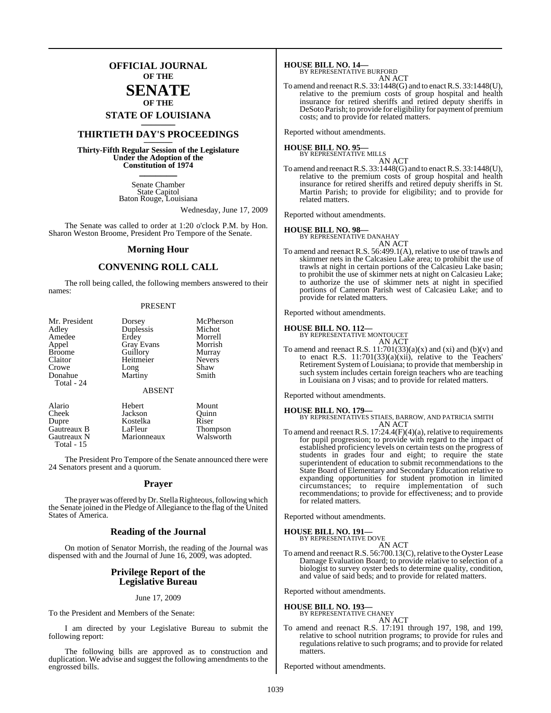### **OFFICIAL JOURNAL OF THE**

### **SENATE OF THE**

## **STATE OF LOUISIANA \_\_\_\_\_\_\_**

### **THIRTIETH DAY'S PROCEEDINGS \_\_\_\_\_\_\_**

**Thirty-Fifth Regular Session of the Legislature Under the Adoption of the Constitution of 1974 \_\_\_\_\_\_\_**

> Senate Chamber State Capitol Baton Rouge, Louisiana

> > Wednesday, June 17, 2009

The Senate was called to order at 1:20 o'clock P.M. by Hon. Sharon Weston Broome, President Pro Tempore of the Senate.

### **Morning Hour**

### **CONVENING ROLL CALL**

The roll being called, the following members answered to their names:

#### PRESENT

| Mr. President<br>Adley<br>Amedee<br>Appel<br><b>Broome</b> | Dorsey<br>Duplessis<br>Erdey<br><b>Gray Evans</b><br>Guillory | McPherson<br>Michot<br>Morrell<br>Morrish<br>Murray |
|------------------------------------------------------------|---------------------------------------------------------------|-----------------------------------------------------|
| Claitor                                                    | Heitmeier                                                     | <b>Nevers</b>                                       |
| Crowe                                                      | Long                                                          | Shaw                                                |
| Donahue                                                    | Martiny                                                       | Smith                                               |
| Total - 24                                                 |                                                               |                                                     |
|                                                            | <b>ABSENT</b>                                                 |                                                     |
| Alario                                                     | Hebert                                                        | Mount                                               |
| Cheek                                                      | Jackson                                                       | Ouinn                                               |
| Dupre                                                      | Kostelka                                                      | Riser                                               |
| Gautreaux B                                                | LaFleur                                                       | <b>Thompson</b>                                     |

Gautreaux N Marionneaux Walsworth Total - 15

The President Pro Tempore of the Senate announced there were 24 Senators present and a quorum.

### **Prayer**

The prayer was offered by Dr. Stella Righteous, following which the Senate joined in the Pledge of Allegiance to the flag of the United States of America.

### **Reading of the Journal**

On motion of Senator Morrish, the reading of the Journal was dispensed with and the Journal of June 16, 2009, was adopted.

### **Privilege Report of the Legislative Bureau**

June 17, 2009

To the President and Members of the Senate:

I am directed by your Legislative Bureau to submit the following report:

The following bills are approved as to construction and duplication. We advise and suggest the following amendments to the engrossed bills.

**HOUSE BILL NO. 14—** BY REPRESENTATIVE BURFORD

| DUKEUKD |        |
|---------|--------|
|         | AN ACT |

To amend and reenactR.S. 33:1448(G) and to enactR.S. 33:1448(U), relative to the premium costs of group hospital and health insurance for retired sheriffs and retired deputy sheriffs in DeSoto Parish; to provide for eligibility for payment of premium costs; and to provide for related matters.

Reported without amendments.

#### **HOUSE BILL NO. 95—** BY REPRESENTATIVE MILLS

AN ACT

To amend and reenactR.S. 33:1448(G) and to enactR.S. 33:1448(U), relative to the premium costs of group hospital and health insurance for retired sheriffs and retired deputy sheriffs in St. Martin Parish; to provide for eligibility; and to provide for related matters.

Reported without amendments.

### **HOUSE BILL NO. 98—**

BY REPRESENTATIVE DANAHAY AN ACT

To amend and reenact R.S. 56:499.1(A), relative to use of trawls and skimmer nets in the Calcasieu Lake area; to prohibit the use of trawls at night in certain portions of the Calcasieu Lake basin; to prohibit the use of skimmer nets at night on Calcasieu Lake; to authorize the use of skimmer nets at night in specified portions of Cameron Parish west of Calcasieu Lake; and to provide for related matters.

Reported without amendments.

### **HOUSE BILL NO. 112—** BY REPRESENTATIVE MONTOUCET

AN ACT

To amend and reenact R.S.  $11:701(33)(a)(x)$  and  $(xi)$  and  $(b)(v)$  and to enact R.S.  $11:701(33)(a)(xii)$ , relative to the Teachers' Retirement System of Louisiana; to provide that membership in such system includes certain foreign teachers who are teaching in Louisiana on J visas; and to provide for related matters.

Reported without amendments.

#### **HOUSE BILL NO. 179—**

BY REPRESENTATIVES STIAES, BARROW, AND PATRICIA SMITH AN ACT

To amend and reenact R.S. 17:24.4(F)(4)(a), relative to requirements for pupil progression; to provide with regard to the impact of established proficiency levels on certain tests on the progress of students in grades four and eight; to require the state superintendent of education to submit recommendations to the State Board of Elementary and Secondary Education relative to expanding opportunities for student promotion in limited circumstances; to require implementation of such recommendations; to provide for effectiveness; and to provide for related matters.

Reported without amendments.

#### **HOUSE BILL NO. 191** BY REPRESENTATIVE DOVE

AN ACT

To amend and reenact R.S. 56:700.13(C), relative to the Oyster Lease Damage Evaluation Board; to provide relative to selection of a biologist to survey oyster beds to determine quality, condition, and value of said beds; and to provide for related matters.

Reported without amendments.

#### **HOUSE BILL NO. 193—** BY REPRESENTATIVE CHANEY

AN ACT To amend and reenact R.S. 17:191 through 197, 198, and 199, relative to school nutrition programs; to provide for rules and regulations relative to such programs; and to provide for related matters.

Reported without amendments.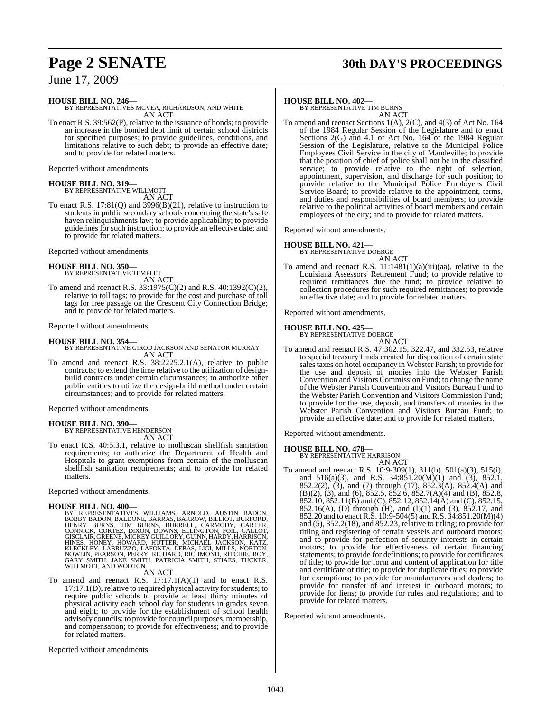## **Page 2 SENATE 30th DAY'S PROCEEDINGS**

June 17, 2009

**HOUSE BILL NO. 246—**

BY REPRESENTATIVES MCVEA, RICHARDSON, AND WHITE AN ACT

To enact R.S. 39:562(P), relative to the issuance of bonds; to provide an increase in the bonded debt limit of certain school districts for specified purposes; to provide guidelines, conditions, and limitations relative to such debt; to provide an effective date; and to provide for related matters.

Reported without amendments.

## **HOUSE BILL NO. 319—** BY REPRESENTATIVE WILLMOTT

AN ACT

To enact R.S. 17:81(Q) and 3996(B)(21), relative to instruction to students in public secondary schools concerning the state's safe haven relinquishments law; to provide applicability; to provide guidelines for such instruction; to provide an effective date; and to provide for related matters.

Reported without amendments.

**HOUSE BILL NO. 350—** BY REPRESENTATIVE TEMPLET AN ACT

To amend and reenact R.S. 33:1975(C)(2) and R.S. 40:1392(C)(2), relative to toll tags; to provide for the cost and purchase of toll tags for free passage on the Crescent City Connection Bridge; and to provide for related matters.

Reported without amendments.

### **HOUSE BILL NO. 354—**

BY REPRESENTATIVE GIROD JACKSON AND SENATOR MURRAY AN ACT

To amend and reenact R.S. 38:2225.2.1(A), relative to public contracts; to extend the time relative to the utilization of designbuild contracts under certain circumstances; to authorize other public entities to utilize the design-build method under certain circumstances; and to provide for related matters.

Reported without amendments.

### **HOUSE BILL NO. 390—**

BY REPRESENTATIVE HENDERSON AN ACT

To enact R.S. 40:5.3.1, relative to molluscan shellfish sanitation requirements; to authorize the Department of Health and Hospitals to grant exemptions from certain of the molluscan shellfish sanitation requirements; and to provide for related matters.

Reported without amendments.

HOUSE BILL NO. 400—<br>BY REPRESENTATIVES WILLIAMS, ARNOLD, AUSTIN BADON, BOBBY BADON, BALDONE, BARRAS, BARROW, BILLIOT, BURFORD,<br>HENRY BURNS, TIM BURNS, BURRELL, CARMODY, CARTER,<br>CONNICK, CORTEZ, DIXON, DOWNS, ELLINGTON, FOI

AN ACT

To amend and reenact R.S. 17:17.1(A)(1) and to enact R.S. 17:17.1(D), relative to required physical activity for students; to require public schools to provide at least thirty minutes of physical activity each school day for students in grades seven and eight; to provide for the establishment of school health advisory councils; to provide for council purposes, membership, and compensation; to provide for effectiveness; and to provide for related matters.

Reported without amendments.

### **HOUSE BILL NO. 402—**

BY REPRESENTATIVE TIM BURNS AN ACT

To amend and reenact Sections 1(A), 2(C), and 4(3) of Act No. 164 of the 1984 Regular Session of the Legislature and to enact Sections 2(G) and 4.1 of Act No. 164 of the 1984 Regular Session of the Legislature, relative to the Municipal Police Employees Civil Service in the city of Mandeville; to provide that the position of chief of police shall not be in the classified service; to provide relative to the right of selection, appointment, supervision, and discharge for such position; to provide relative to the Municipal Police Employees Civil Service Board; to provide relative to the appointment, terms, and duties and responsibilities of board members; to provide relative to the political activities of board members and certain employees of the city; and to provide for related matters.

Reported without amendments.

### **HOUSE BILL NO. 421—**

BY REPRESENTATIVE DOERGE

AN ACT To amend and reenact R.S.  $11:1481(1)(a)(iii)(aa)$ , relative to the Louisiana Assessors' Retirement Fund; to provide relative to required remittances due the fund; to provide relative to collection procedures for such required remittances; to provide an effective date; and to provide for related matters.

Reported without amendments.

### **HOUSE BILL NO. 425—**

BY REPRESENTATIVE DOERGE

- AN ACT
- To amend and reenact R.S. 47:302.15, 322.47, and 332.53, relative to special treasury funds created for disposition of certain state sales taxes on hotel occupancy in Webster Parish; to provide for the use and deposit of monies into the Webster Parish Convention and Visitors Commission Fund; to change the name of the Webster Parish Convention and Visitors Bureau Fund to the Webster Parish Convention and Visitors Commission Fund; to provide for the use, deposit, and transfers of monies in the Webster Parish Convention and Visitors Bureau Fund; to provide an effective date; and to provide for related matters.

Reported without amendments.

### **HOUSE BILL NO. 478—**

BY REPRESENTATIVE HARRISON

AN ACT To amend and reenact R.S. 10:9-309(1), 311(b), 501(a)(3), 515(i), and 516(a)(3), and R.S. 34:851.20(M)(1) and (3), 852.1, 852.2(2), (3), and (7) through (17), 852.3(A), 852.4(A) and (B)(2), (3), and (6), 852.5, 852.6, 852.7(A)(4) and (B), 852.8,  $852.10$ ,  $852.11(B)$  and (C),  $852.12$ ,  $852.14(A)$  and (C),  $852.15$ , 852.16(A), (D) through (H), and (I)(1) and (3), 852.17, and 852.20 and to enact R.S. 10:9-504(5) and R.S. 34:851.20(M)(4) and (5), 852.2(18), and 852.23, relative to titling; to provide for titling and registering of certain vessels and outboard motors; and to provide for perfection of security interests in certain motors; to provide for effectiveness of certain financing statements; to provide for definitions; to provide for certificates of title; to provide for form and content of application for title and certificate of title; to provide for duplicate titles; to provide for exemptions; to provide for manufacturers and dealers; to provide for transfer of and interest in outboard motors; to provide for liens; to provide for rules and regulations; and to provide for related matters.

Reported without amendments.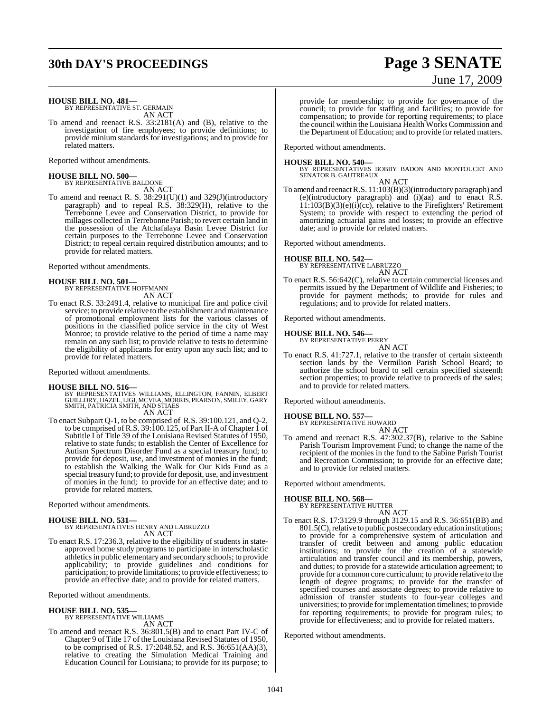## **30th DAY'S PROCEEDINGS Page 3 SENATE**

### **HOUSE BILL NO. 481—** BY REPRESENTATIVE ST. GERMAIN

AN ACT

To amend and reenact R.S. 33:2181(A) and (B), relative to the investigation of fire employees; to provide definitions; to provide minium standards for investigations; and to provide for related matters.

Reported without amendments.

## **HOUSE BILL NO. 500—** BY REPRESENTATIVE BALDONE

AN ACT

To amend and reenact R. S. 38:291(U)(1) and 329(J)(introductory paragraph) and to repeal R.S. 38:329(H), relative to the Terrebonne Levee and Conservation District, to provide for millages collected in Terrebonne Parish; to revert certain land in the possession of the Atchafalaya Basin Levee District for certain purposes to the Terrebonne Levee and Conservation District; to repeal certain required distribution amounts; and to provide for related matters.

Reported without amendments.

### **HOUSE BILL NO. 501—** BY REPRESENTATIVE HOFFMANN

AN ACT

To enact R.S. 33:2491.4, relative to municipal fire and police civil service; to provide relative to the establishment and maintenance of promotional employment lists for the various classes of positions in the classified police service in the city of West Monroe; to provide relative to the period of time a name may remain on any such list; to provide relative to tests to determine the eligibility of applicants for entry upon any such list; and to provide for related matters.

Reported without amendments.

### **HOUSE BILL NO. 516—**

- BY REPRESENTATIVES WILLIAMS, ELLINGTON, FANNIN, ELBERT<br>GUILLORY, HAZEL, LIGI, MCVEA, MORRIS, PEARSON, SMILEY, GARY<br>SMITH, PATRICIA SMITH, AND STIAES AN ACT
- To enact Subpart Q-1, to be comprised of R.S. 39:100.121, and Q-2, to be comprised of R.S. 39:100.125, of Part II-A of Chapter 1 of Subtitle I of Title 39 of the Louisiana Revised Statutes of 1950, relative to state funds; to establish the Center of Excellence for Autism Spectrum Disorder Fund as a special treasury fund; to provide for deposit, use, and investment of monies in the fund; to establish the Walking the Walk for Our Kids Fund as a special treasury fund; to provide for deposit, use, and investment of monies in the fund; to provide for an effective date; and to provide for related matters.

Reported without amendments.

### **HOUSE BILL NO. 531—**

BY REPRESENTATIVES HENRY AND LABRUZZO AN ACT

To enact R.S. 17:236.3, relative to the eligibility of students in stateapproved home study programs to participate in interscholastic athleticsin public elementary and secondary schools; to provide applicability; to provide guidelines and conditions for participation; to provide limitations; to provide effectiveness; to provide an effective date; and to provide for related matters.

Reported without amendments.

### **HOUSE BILL NO. 535—**

BY REPRESENTATIVE WILLIAMS AN ACT

To amend and reenact R.S. 36:801.5(B) and to enact Part IV-C of Chapter 9 of Title 17 of the Louisiana Revised Statutes of 1950, to be comprised of R.S. 17:2048.52, and R.S. 36:651(AA)(3), relative to creating the Simulation Medical Training and Education Council for Louisiana; to provide for its purpose; to

# June 17, 2009

provide for membership; to provide for governance of the council; to provide for staffing and facilities; to provide for compensation; to provide for reporting requirements; to place the council within the Louisiana Health Works Commission and the Department of Education; and to provide for related matters.

Reported without amendments.

**HOUSE BILL NO. 540—** BY REPRESENTATIVES BOBBY BADON AND MONTOUCET AND SENATOR B. GAUTREAUX

AN ACT To amend and reenact R.S. 11:103(B)(3)(introductory paragraph) and (e)(introductory paragraph) and (i)(aa) and to enact R.S. 11:103(B)(3)(e)(i)(cc), relative to the Firefighters' Retirement System; to provide with respect to extending the period of amortizing actuarial gains and losses; to provide an effective date; and to provide for related matters.

Reported without amendments.

### **HOUSE BILL NO. 542—**

BY REPRESENTATIVE LABRUZZO AN ACT

To enact R.S. 56:642(C), relative to certain commercial licenses and permits issued by the Department of Wildlife and Fisheries; to provide for payment methods; to provide for rules and regulations; and to provide for related matters.

Reported without amendments.

### **HOUSE BILL NO. 546—** BY REPRESENTATIVE PERRY

AN ACT

To enact R.S. 41:727.1, relative to the transfer of certain sixteenth section lands by the Vermilion Parish School Board; to authorize the school board to sell certain specified sixteenth section properties; to provide relative to proceeds of the sales; and to provide for related matters.

Reported without amendments.

### **HOUSE BILL NO. 557—**

BY REPRESENTATIVE HOWARD AN ACT

To amend and reenact R.S. 47:302.37(B), relative to the Sabine Parish Tourism Improvement Fund; to change the name of the recipient of the monies in the fund to the Sabine Parish Tourist and Recreation Commission; to provide for an effective date; and to provide for related matters.

Reported without amendments.

### **HOUSE BILL NO. 568—**

BY REPRESENTATIVE HUTTER AN ACT

To enact R.S. 17:3129.9 through 3129.15 and R.S. 36:651(BB) and 801.5(C), relative to public postsecondary education institutions; to provide for a comprehensive system of articulation and transfer of credit between and among public education institutions; to provide for the creation of a statewide articulation and transfer council and its membership, powers, and duties; to provide for a statewide articulation agreement; to provide for a common core curriculum; to provide relative to the length of degree programs; to provide for the transfer of specified courses and associate degrees; to provide relative to admission of transfer students to four-year colleges and universities; to provide forimplementation timelines; to provide for reporting requirements; to provide for program rules; to provide for effectiveness; and to provide for related matters.

Reported without amendments.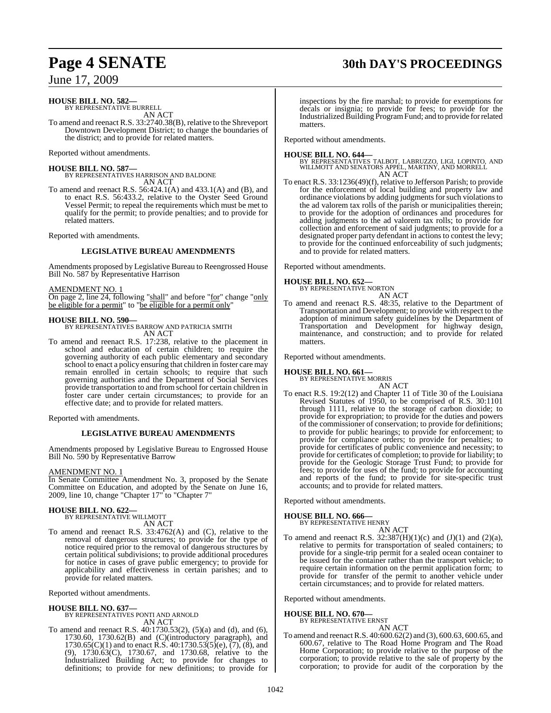# **Page 4 SENATE 30th DAY'S PROCEEDINGS**

### June 17, 2009

### **HOUSE BILL NO. 582—** BY REPRESENTATIVE BURRELL

AN ACT

To amend and reenact R.S. 33:2740.38(B), relative to the Shreveport Downtown Development District; to change the boundaries of the district; and to provide for related matters.

Reported without amendments.

### **HOUSE BILL NO. 587—**

BY REPRESENTATIVES HARRISON AND BALDONE AN ACT

To amend and reenact R.S. 56:424.1(A) and 433.1(A) and (B), and to enact R.S. 56:433.2, relative to the Oyster Seed Ground Vessel Permit; to repeal the requirements which must be met to qualify for the permit; to provide penalties; and to provide for related matters.

Reported with amendments.

### **LEGISLATIVE BUREAU AMENDMENTS**

Amendments proposed by Legislative Bureau to Reengrossed House Bill No. 587 by Representative Harrison

### AMENDMENT NO. 1

On page 2, line 24, following "shall" and before "for" change "only be eligible for a permit" to "be eligible for a permit only"

### **HOUSE BILL NO. 590—**

BY REPRESENTATIVES BARROW AND PATRICIA SMITH AN ACT

To amend and reenact R.S. 17:238, relative to the placement in school and education of certain children; to require the governing authority of each public elementary and secondary school to enact a policy ensuring that children in foster care may remain enrolled in certain schools; to require that such governing authorities and the Department of Social Services provide transportation to and from school for certain children in foster care under certain circumstances; to provide for an effective date; and to provide for related matters.

Reported with amendments.

### **LEGISLATIVE BUREAU AMENDMENTS**

Amendments proposed by Legislative Bureau to Engrossed House Bill No. 590 by Representative Barrow

### AMENDMENT NO. 1

In Senate Committee Amendment No. 3, proposed by the Senate Committee on Education, and adopted by the Senate on June 16, 2009, line 10, change "Chapter 17" to "Chapter 7"

## **HOUSE BILL NO. 622—** BY REPRESENTATIVE WILLMOTT

AN ACT

To amend and reenact R.S. 33:4762(A) and (C), relative to the removal of dangerous structures; to provide for the type of notice required prior to the removal of dangerous structures by certain political subdivisions; to provide additional procedures for notice in cases of grave public emergency; to provide for applicability and effectiveness in certain parishes; and to provide for related matters.

Reported without amendments.

**HOUSE BILL NO. 637—** BY REPRESENTATIVES PONTI AND ARNOLD AN ACT

To amend and reenact R.S. 40:1730.53(2), (5)(a) and (d), and (6), 1730.60, 1730.62(B) and (C)(introductory paragraph), and 1730.65(C)(1) and to enact R.S. 40:1730.53(5)(e),  $(7)$ ,  $(8)$ , and (9), 1730.63(C), 1730.67, and 1730.68, relative to the Industrialized Building Act; to provide for changes to definitions; to provide for new definitions; to provide for

# inspections by the fire marshal; to provide for exemptions for

decals or insignia; to provide for fees; to provide for the Industrialized Building Program Fund; and to provide for related matters.

Reported without amendments.

**HOUSE BILL NO. 644—** BY REPRESENTATIVES TALBOT, LABRUZZO, LIGI, LOPINTO, AND WILLMOTT AND SENATORS APPEL, MARTINY, AND MORRELL AN ACT

To enact R.S. 33:1236(49)(f), relative to Jefferson Parish; to provide for the enforcement of local building and property law and ordinance violations by adding judgments for such violations to the ad valorem tax rolls of the parish or municipalities therein; to provide for the adoption of ordinances and procedures for adding judgments to the ad valorem tax rolls; to provide for collection and enforcement of said judgments; to provide for a designated proper party defendant in actions to contest the levy; to provide for the continued enforceability of such judgments; and to provide for related matters.

Reported without amendments.

**HOUSE BILL NO. 652—** BY REPRESENTATIVE NORTON

AN ACT

To amend and reenact R.S. 48:35, relative to the Department of Transportation and Development; to provide with respect to the adoption of minimum safety guidelines by the Department of Transportation and Development for highway design, maintenance, and construction; and to provide for related matters.

Reported without amendments.

### **HOUSE BILL NO. 661—** BY REPRESENTATIVE MORRIS

AN ACT To enact R.S. 19:2(12) and Chapter 11 of Title 30 of the Louisiana Revised Statutes of 1950, to be comprised of R.S. 30:1101 through 1111, relative to the storage of carbon dioxide; to provide for expropriation; to provide for the duties and powers of the commissioner of conservation; to provide for definitions; to provide for public hearings; to provide for enforcement; to provide for compliance orders; to provide for penalties; to provide for certificates of public convenience and necessity; to provide for certificates of completion; to provide for liability; to provide for the Geologic Storage Trust Fund; to provide for fees; to provide for uses of the fund; to provide for accounting and reports of the fund; to provide for site-specific trust accounts; and to provide for related matters.

Reported without amendments.

### **HOUSE BILL NO. 666—**

BY REPRESENTATIVE HENRY AN ACT

To amend and reenact R.S.  $32:387(H)(1)(c)$  and  $(J)(1)$  and  $(2)(a)$ , relative to permits for transportation of sealed containers; to provide for a single-trip permit for a sealed ocean container to be issued for the container rather than the transport vehicle; to require certain information on the permit application form; to provide for transfer of the permit to another vehicle under certain circumstances; and to provide for related matters.

Reported without amendments.

## **HOUSE BILL NO. 670—** BY REPRESENTATIVE ERNST

AN ACT To amend and reenactR.S. 40:600.62(2) and (3), 600.63, 600.65, and 600.67, relative to The Road Home Program and The Road Home Corporation; to provide relative to the purpose of the corporation; to provide relative to the sale of property by the corporation; to provide for audit of the corporation by the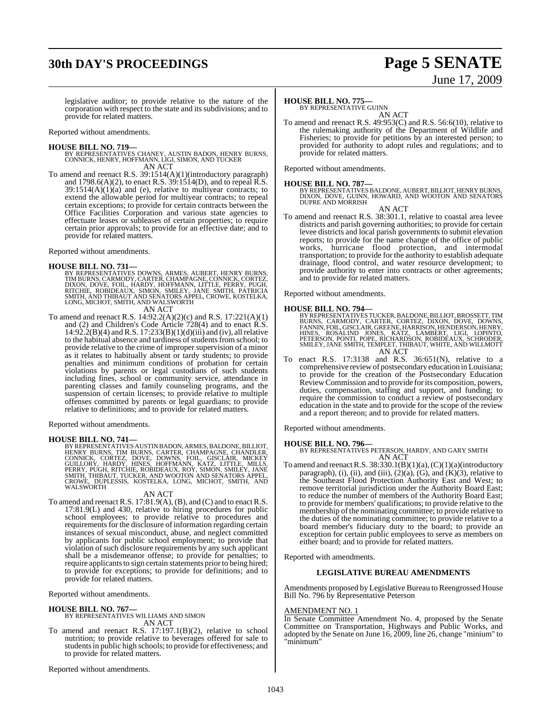## **30th DAY'S PROCEEDINGS Page 5 SENATE**

# June 17, 2009

legislative auditor; to provide relative to the nature of the corporation with respect to the state and its subdivisions; and to provide for related matters.

Reported without amendments.

### **HOUSE BILL NO. 719—**

BY REPRESENTATIVES CHANEY, AUSTIN BADON, HENRY BURNS, CONNICK, HENRY, HOFFMANN, LIGI, SIMON, AND TUCKER AN ACT

To amend and reenact R.S. 39:1514(A)(1)(introductory paragraph) and 1798.6(A)(2), to enact R.S.  $39:1514(D)$ , and to repeal R.S.  $39:1514(A)(1)(a)$  and (e), relative to multiyear contracts; to extend the allowable period for multiyear contracts; to repeal certain exceptions; to provide for certain contracts between the Office Facilities Corporation and various state agencies to effectuate leases or subleases of certain properties; to require certain prior approvals; to provide for an effective date; and to provide for related matters.

Reported without amendments.

### **HOUSE BILL NO. 731—**

- BY REPRESENTATIVES DOWNS, ARMES, AUBERT, HENRY BURNS,<br>TIM BURNS, CARMODY, CARTER, CHAMPAGNE, CONNICK, CORTEZ,<br>DIXON, DOVE, FOIL, HARDY, HOFFMANN, LITTLE, PERRY, PUGH,<br>RITCHIE, ROBIDEAUX, SIMON, SMILEY, JANE SMITH, PATRICIA
	- AN ACT
- To amend and reenact R.S. 14:92.2(A)(2)(c) and R.S. 17:221(A)(1) and (2) and Children's Code Article 728(4) and to enact R.S.  $14:92.2(B)(4)$  and R.S.  $17:233(B)(1)(d)(iii)$  and (iv), all relative to the habitual absence and tardiness of students from school; to provide relative to the crime of improper supervision of a minor as it relates to habitually absent or tardy students; to provide penalties and minimum conditions of probation for certain violations by parents or legal custodians of such students including fines, school or community service, attendance in parenting classes and family counseling programs, and the suspension of certain licenses; to provide relative to multiple offenses committed by parents or legal guardians; to provide relative to definitions; and to provide for related matters.

Reported without amendments.

**HOUSE BILL NO. 741—**<br>BY REPRESENTATIVES AUSTIN BADON, ARMES, BALDONE, BILLIOT,<br>HENRY BURNS, TIM BURNS, CARTER, CHAMPAGNE, CHANDLER,<br>CONNICK, CORTEZ, DOVE, DOWNS, FOIL, GISCLAIR, MICKEY<br>GUILLORY, HARDY, HINES, HOFFMANN, KA

### AN ACT

To amend and reenact R.S. 17:81.9(A), (B), and (C) and to enact R.S. 17:81.9(L) and 430, relative to hiring procedures for public school employees; to provide relative to procedures and requirements for the disclosure of information regarding certain instances of sexual misconduct, abuse, and neglect committed by applicants for public school employment; to provide that violation of such disclosure requirements by any such applicant shall be a misdemeanor offense; to provide for penalties; to require applicants to sign certain statements prior to being hired; to provide for exceptions; to provide for definitions; and to provide for related matters.

Reported without amendments.

## **HOUSE BILL NO. 767—** BY REPRESENTATIVES WILLIAMS AND SIMON

AN ACT

To amend and reenact R.S. 17:197.1(B)(2), relative to school nutrition; to provide relative to beverages offered for sale to students in public high schools; to provide for effectiveness; and to provide for related matters.

Reported without amendments.

### **HOUSE BILL NO. 775—**

BY REPRESENTATIVE GUINN AN ACT

To amend and reenact R.S. 49:953(C) and R.S. 56:6(10), relative to the rulemaking authority of the Department of Wildlife and Fisheries; to provide for petitions by an interested person; to provided for authority to adopt rules and regulations; and to provide for related matters.

Reported without amendments.

**HOUSE BILL NO. 787—**<br>BY REPRESENTATIVES BALDONE, AUBERT, BILLIOT, HENRY BURNS,<br>DIXON, DOVE, GUINN, HOWARD, AND WOOTON AND SENATORS<br>DUPRE AND MORRISH

AN ACT

To amend and reenact R.S. 38:301.1, relative to coastal area levee districts and parish governing authorities; to provide for certain levee districts and local parish governments to submit elevation reports; to provide for the name change of the office of public works, hurricane flood protection, and intermodal transportation; to provide for the authority to establish adequate drainage, flood control, and water resource development; to provide authority to enter into contracts or other agreements; and to provide for related matters.

Reported without amendments.

- **HOUSE BILL NO. 794—**<br>BY REPRESENTATIVES TUCKER, BALDONE, BILLIOT, BROSSETT, TIM<br>BURNS, CARMODY, CARTER, CORTEZ, DIXON, DOVE, DOWNS,<br>FANNIN, FOIL, GISCLAIR, GREENE, HARRISON, HENDERSON, HENRY,<br>HINES, ROSALIND JONES, KATZ, AN ACT
- To enact R.S. 17:3138 and R.S. 36:651(N), relative to a comprehensive reviewof postsecondary education in Louisiana; to provide for the creation of the Postsecondary Education ReviewCommission and to provide forits composition, powers, duties, compensation, staffing and support, and funding; to require the commission to conduct a review of postsecondary education in the state and to provide for the scope of the review and a report thereon; and to provide for related matters.

Reported without amendments.

### **HOUSE BILL NO. 796—** BY REPRESENTATIVES PETERSON, HARDY, AND GARY SMITH

AN ACT To amend and reenact R.S.  $38:330.1(B)(1)(a)$ ,  $(C)(1)(a)$ (introductory paragraph), (i), (ii), and (iii),  $(2)(a)$ ,  $(G)$ , and  $(K)(3)$ , relative to the Southeast Flood Protection Authority East and West; to remove territorial jurisdiction under the Authority Board East; to reduce the number of members of the Authority Board East; to provide for members' qualifications; to provide relative to the membership of the nominating committee; to provide relative to the duties of the nominating committee; to provide relative to a board member's fiduciary duty to the board; to provide an exception for certain public employees to serve as members on either board; and to provide for related matters.

Reported with amendments.

### **LEGISLATIVE BUREAU AMENDMENTS**

Amendments proposed by Legislative Bureau to Reengrossed House Bill No. 796 by Representative Peterson

### AMENDMENT NO. 1

In Senate Committee Amendment No. 4, proposed by the Senate Committee on Transportation, Highways and Public Works, and adopted by the Senate on June 16, 2009, line 26, change "minium" to "minimum"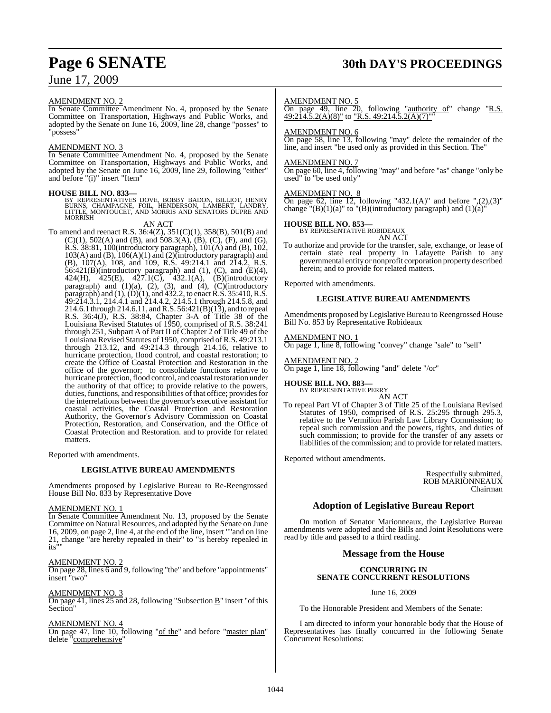### AMENDMENT NO. 2

In Senate Committee Amendment No. 4, proposed by the Senate Committee on Transportation, Highways and Public Works, and adopted by the Senate on June 16, 2009, line 28, change "posses" to "possess"

### AMENDMENT NO. 3

In Senate Committee Amendment No. 4, proposed by the Senate Committee on Transportation, Highways and Public Works, and adopted by the Senate on June 16, 2009, line 29, following "either" and before "(i)" insert "Item"

**HOUSE BILL NO. 833—**<br>BY REPRESENTATIVES DOVE, BOBBY BADON, BILLIOT, HENRY<br>BURNS, CHAMPAGNE, FOIL, HENDERSON, LAMBERT, LANDRY,<br>LITTLE, MONTOUCET, AND MORRIS AND SENATORS DUPRE AND<br>MORRISH

AN ACT

To amend and reenact R.S.  $36:4(Z)$ ,  $351(C)(1)$ ,  $358(B)$ ,  $501(B)$  and  $(C)(1)$ , 502(A) and (B), and 508.3(A), (B), (C), (F), and (G), R.S. 38:81, 100(introductory paragraph), 101(A) and (B), 102, 103(A) and (B), 106(A)(1) and (2)(introductory paragraph) and (B), 107(A), 108, and 109, R.S. 49:214.1 and 214.2, R.S.  $56:421(B)$ (introductory paragraph) and (1), (C), and (E)(4), 424(H), 425(E), 427.1(C), 432.1(A), (B)(introductory paragraph) and  $(1)(a)$ ,  $(2)$ ,  $(3)$ , and  $(4)$ ,  $(C)(introducing$ paragraph) and  $(1)$ ,  $(D)(1)$ , and  $432.2$ , to enact R.S.  $35:410$ , R.S. 49:214.3.1, 214.4.1 and 214.4.2, 214.5.1 through 214.5.8, and 214.6.1 through 214.6.11, andR.S. 56:421(B)(13), and to repeal R.S. 36:4(J), R.S. 38:84, Chapter 3-A of Title 38 of the Louisiana Revised Statutes of 1950, comprised of R.S. 38:241 through 251, Subpart A of Part II of Chapter 2 of Title 49 of the Louisiana Revised Statutes of 1950, comprised of R.S. 49:213.1 through 213.12, and 49:214.3 through 214.16, relative to hurricane protection, flood control, and coastal restoration; to create the Office of Coastal Protection and Restoration in the office of the governor; to consolidate functions relative to hurricane protection, flood control, and coastal restoration under the authority of that office; to provide relative to the powers, duties, functions, and responsibilities of that office; provides for the interrelations between the governor's executive assistant for coastal activities, the Coastal Protection and Restoration Authority, the Governor's Advisory Commission on Coastal Protection, Restoration, and Conservation, and the Office of Coastal Protection and Restoration. and to provide for related matters.

Reported with amendments.

### **LEGISLATIVE BUREAU AMENDMENTS**

Amendments proposed by Legislative Bureau to Re-Reengrossed House Bill No. 833 by Representative Dove

### AMENDMENT NO. 1

In Senate Committee Amendment No. 13, proposed by the Senate Committee on Natural Resources, and adopted by the Senate on June 16, 2009, on page 2, line 4, at the end of the line, insert ""and on line 21, change "are hereby repealed in their" to "is hereby repealed in its<sup>'</sup>

### AMENDMENT NO. 2

On page 28, lines 6 and 9, following "the" and before "appointments" insert "two"

### AMENDMENT NO. 3

On page 41, lines 25 and 28, following "Subsection B" insert "of this Section"

### AMENDMENT NO. 4

On page 47, line 10, following "of the" and before "master plan" delete "comprehensive"

## **Page 6 SENATE 30th DAY'S PROCEEDINGS**

### AMENDMENT NO. 5

On page 49, line 20, following "authority of" change "R.S.  $49:214.5.2(A)(8)''$  to "R.S.  $49:214.5.2(A)(7)'''$ 

### AMENDMENT NO. 6

On page 58, line 13, following "may" delete the remainder of the line, and insert "be used only as provided in this Section. The"

### AMENDMENT NO. 7

On page 60, line 4, following "may" and before "as" change "only be used" to "be used only"

### AMENDMENT NO. 8

On page 62, line 12, following "432.1(A)" and before ", $(2)$ , $(3)$ " change "(B)(1)(a)" to "(B)(introductory paragraph) and  $(1)(a)$ "

### **HOUSE BILL NO. 853—** BY REPRESENTATIVE ROBIDEAUX

AN ACT To authorize and provide for the transfer, sale, exchange, or lease of certain state real property in Lafayette Parish to any governmental entity or nonprofit corporation property described herein; and to provide for related matters.

Reported with amendments.

### **LEGISLATIVE BUREAU AMENDMENTS**

Amendments proposed by Legislative Bureau to Reengrossed House Bill No. 853 by Representative Robideaux

### AMENDMENT NO. 1

On page 1, line 8, following "convey" change "sale" to "sell"

### AMENDMENT NO. 2 On page 1, line 18, following "and" delete "/or"

#### **HOUSE BILL NO. 883—** BY REPRESENTATIVE PERRY AN ACT

To repeal Part VI of Chapter 3 of Title 25 of the Louisiana Revised Statutes of 1950, comprised of R.S. 25:295 through 295.3, relative to the Vermilion Parish Law Library Commission; to repeal such commission and the powers, rights, and duties of such commission; to provide for the transfer of any assets or liabilities of the commission; and to provide for related matters.

Reported without amendments.

Respectfully submitted, ROB MARIONNEAUX Chairman

### **Adoption of Legislative Bureau Report**

On motion of Senator Marionneaux, the Legislative Bureau amendments were adopted and the Bills and Joint Resolutions were read by title and passed to a third reading.

### **Message from the House**

### **CONCURRING IN SENATE CONCURRENT RESOLUTIONS**

June 16, 2009

To the Honorable President and Members of the Senate:

I am directed to inform your honorable body that the House of Representatives has finally concurred in the following Senate Concurrent Resolutions: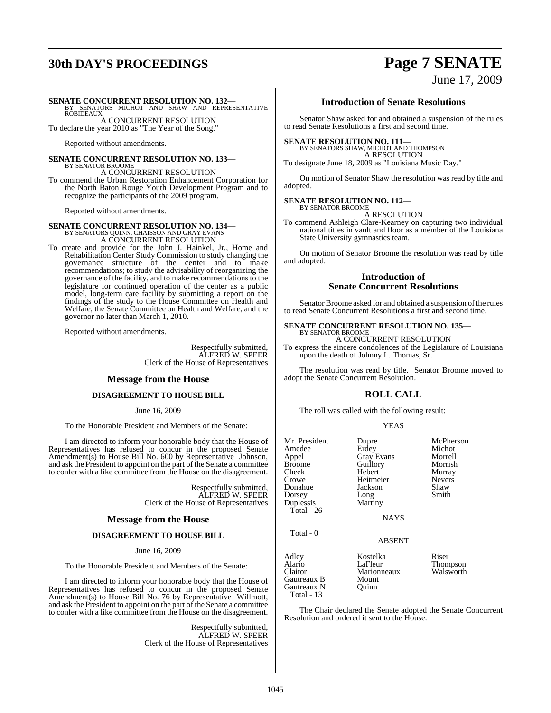## **30th DAY'S PROCEEDINGS Page 7 SENATE**

# June 17, 2009

### **SENATE CONCURRENT RESOLUTION NO. 132—**

BY SENATORS MICHOT AND SHAW AND REPRESENTATIVE **ROBIDEAUX** A CONCURRENT RESOLUTION

To declare the year 2010 as "The Year of the Song."

Reported without amendments.

#### **SENATE CONCURRENT RESOLUTION NO. 133—** BY SENATOR BROOME

A CONCURRENT RESOLUTION

To commend the Urban Restoration Enhancement Corporation for the North Baton Rouge Youth Development Program and to recognize the participants of the 2009 program.

Reported without amendments.

# **SENATE CONCURRENT RESOLUTION NO. 134—**<br>BY SENATORS QUINN, CHAISSON AND GRAY EVANS<br>A CONCURRENT RESOLUTION

To create and provide for the John J. Hainkel, Jr., Home and Rehabilitation Center Study Commission to study changing the governance structure of the center and to make recommendations; to study the advisability of reorganizing the governance of the facility, and to make recommendations to the legislature for continued operation of the center as a public model, long-term care facility by submitting a report on the findings of the study to the House Committee on Health and Welfare, the Senate Committee on Health and Welfare, and the governor no later than March 1, 2010.

Reported without amendments.

Respectfully submitted, ALFRED W. SPEER Clerk of the House of Representatives

### **Message from the House**

### **DISAGREEMENT TO HOUSE BILL**

June 16, 2009

To the Honorable President and Members of the Senate:

I am directed to inform your honorable body that the House of Representatives has refused to concur in the proposed Senate Amendment(s) to House Bill No. 600 by Representative Johnson, and ask the President to appoint on the part of the Senate a committee to confer with a like committee from the House on the disagreement.

> Respectfully submitted, ALFRED W. SPEER Clerk of the House of Representatives

### **Message from the House**

### **DISAGREEMENT TO HOUSE BILL**

June 16, 2009

To the Honorable President and Members of the Senate:

I am directed to inform your honorable body that the House of Representatives has refused to concur in the proposed Senate Amendment(s) to House Bill No. 76 by Representative Willmott, and ask the President to appoint on the part of the Senate a committee to confer with a like committee from the House on the disagreement.

> Respectfully submitted, ALFRED W. SPEER Clerk of the House of Representatives

### **Introduction of Senate Resolutions**

Senator Shaw asked for and obtained a suspension of the rules to read Senate Resolutions a first and second time.

### **SENATE RESOLUTION NO. 111—**

BY SENATORS SHAW, MICHOT AND THOMPSON A RESOLUTION

To designate June 18, 2009 as "Louisiana Music Day."

On motion of Senator Shaw the resolution was read by title and adopted.

### **SENATE RESOLUTION NO. 112—**

BY SENATOR BROOME A RESOLUTION

To commend Ashleigh Clare-Kearney on capturing two individual national titles in vault and floor as a member of the Louisiana State University gymnastics team.

On motion of Senator Broome the resolution was read by title and adopted.

### **Introduction of Senate Concurrent Resolutions**

Senator Broome asked for and obtained a suspension of the rules to read Senate Concurrent Resolutions a first and second time.

#### **SENATE CONCURRENT RESOLUTION NO. 135—** BY SENATOR BROOME

A CONCURRENT RESOLUTION To express the sincere condolences of the Legislature of Louisiana upon the death of Johnny L. Thomas, Sr.

The resolution was read by title. Senator Broome moved to adopt the Senate Concurrent Resolution.

### **ROLL CALL**

The roll was called with the following result:

#### YEAS

| Mr. President<br>Amedee<br>Appel<br><b>Broome</b><br>Cheek<br>Crowe<br>Donahue<br>Dorsey<br>Duplessis<br>Total - $26$ | Dupre<br>Erdey<br><b>Gray Evans</b><br>Guillory<br>Hebert<br>Heitmeier<br>Jackson<br>Long<br>Martiny<br><b>NAYS</b> | McPherson<br>Michot<br>Morrell<br>Morrish<br>Murray<br><b>Nevers</b><br>Shaw<br>Smith |
|-----------------------------------------------------------------------------------------------------------------------|---------------------------------------------------------------------------------------------------------------------|---------------------------------------------------------------------------------------|
| Total - 0                                                                                                             | <b>ABSENT</b>                                                                                                       |                                                                                       |
| Adley<br>Alario<br>Claitor<br>Gautreaux B<br>Gautreaux N<br>Total - 13                                                | Kostelka<br>LaFleur<br>Marionneaux<br>Mount<br>Ouinn                                                                | Riser<br><b>Thompson</b><br>Walsworth                                                 |

The Chair declared the Senate adopted the Senate Concurrent Resolution and ordered it sent to the House.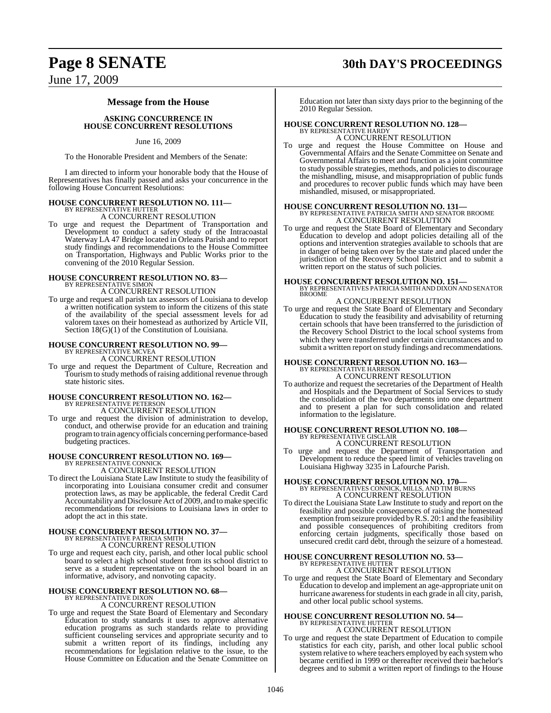### **Page 8 SENATE 30th DAY'S PROCEEDINGS**

June 17, 2009

### **Message from the House**

**ASKING CONCURRENCE IN HOUSE CONCURRENT RESOLUTIONS**

June 16, 2009

To the Honorable President and Members of the Senate:

I am directed to inform your honorable body that the House of Representatives has finally passed and asks your concurrence in the following House Concurrent Resolutions:

## **HOUSE CONCURRENT RESOLUTION NO. 111—** BY REPRESENTATIVE HUTTER

A CONCURRENT RESOLUTION

To urge and request the Department of Transportation and Development to conduct a safety study of the Intracoastal Waterway LA 47 Bridge located in Orleans Parish and to report study findings and recommendations to the House Committee on Transportation, Highways and Public Works prior to the convening of the 2010 Regular Session.

## **HOUSE CONCURRENT RESOLUTION NO. 83—** BY REPRESENTATIVE SIMON

A CONCURRENT RESOLUTION

To urge and request all parish tax assessors of Louisiana to develop a written notification system to inform the citizens of this state of the availability of the special assessment levels for ad valorem taxes on their homestead as authorized by Article VII, Section  $18(G)(1)$  of the Constitution of Louisiana.

### **HOUSE CONCURRENT RESOLUTION NO. 99—** BY REPRESENTATIVE MCVEA

A CONCURRENT RESOLUTION

To urge and request the Department of Culture, Recreation and Tourism to study methods of raising additional revenue through state historic sites.

## **HOUSE CONCURRENT RESOLUTION NO. 162—** BY REPRESENTATIVE PETERSON

A CONCURRENT RESOLUTION

To urge and request the division of administration to develop, conduct, and otherwise provide for an education and training programto train agency officials concerning performance-based budgeting practices.

## **HOUSE CONCURRENT RESOLUTION NO. 169—** BY REPRESENTATIVE CONNICK

A CONCURRENT RESOLUTION

To direct the Louisiana State Law Institute to study the feasibility of incorporating into Louisiana consumer credit and consumer protection laws, as may be applicable, the federal Credit Card Accountability and Disclosure Act of 2009, and to make specific recommendations for revisions to Louisiana laws in order to adopt the act in this state.

# **HOUSE CONCURRENT RESOLUTION NO. 37—** BY REPRESENTATIVE PATRICIA SMITH A CONCURRENT RESOLUTION

To urge and request each city, parish, and other local public school board to select a high school student from its school district to serve as a student representative on the school board in an informative, advisory, and nonvoting capacity.

#### **HOUSE CONCURRENT RESOLUTION NO. 68—** BY REPRESENTATIVE DIXON

A CONCURRENT RESOLUTION

To urge and request the State Board of Elementary and Secondary Education to study standards it uses to approve alternative education programs as such standards relate to providing sufficient counseling services and appropriate security and to submit a written report of its findings, including any recommendations for legislation relative to the issue, to the House Committee on Education and the Senate Committee on

Education not later than sixty days prior to the beginning of the 2010 Regular Session.

### **HOUSE CONCURRENT RESOLUTION NO. 128—** BY REPRESENTATIVE HARDY

A CONCURRENT RESOLUTION

To urge and request the House Committee on House and Governmental Affairs and the Senate Committee on Senate and Governmental Affairs to meet and function as a joint committee to study possible strategies, methods, and policiesto discourage the mishandling, misuse, and misappropriation of public funds and procedures to recover public funds which may have been mishandled, misused, or misappropriated.

### **HOUSE CONCURRENT RESOLUTION NO. 131—** BY REPRESENTATIVE PATRICIA SMITH AND SENATOR BROOME A CONCURRENT RESOLUTION

To urge and request the State Board of Elementary and Secondary Education to develop and adopt policies detailing all of the options and intervention strategies available to schools that are in danger of being taken over by the state and placed under the jurisdiction of the Recovery School District and to submit a written report on the status of such policies.

**HOUSE CONCURRENT RESOLUTION NO. 151—** BY REPRESENTATIVES PATRICIA SMITH AND DIXON AND SENATOR **BROOME** 

### A CONCURRENT RESOLUTION

To urge and request the State Board of Elementary and Secondary Education to study the feasibility and advisability of returning certain schools that have been transferred to the jurisdiction of the Recovery School District to the local school systems from which they were transferred under certain circumstances and to submit a written report on study findings and recommendations.

### **HOUSE CONCURRENT RESOLUTION NO. 163—** BY REPRESENTATIVE HARRISON

A CONCURRENT RESOLUTION

To authorize and request the secretaries of the Department of Health and Hospitals and the Department of Social Services to study the consolidation of the two departments into one department and to present a plan for such consolidation and related information to the legislature.

## **HOUSE CONCURRENT RESOLUTION NO. 108—** BY REPRESENTATIVE GISCLAIR

A CONCURRENT RESOLUTION

To urge and request the Department of Transportation and Development to reduce the speed limit of vehicles traveling on Louisiana Highway 3235 in Lafourche Parish.

# **HOUSE CONCURRENT RESOLUTION NO. 170—** BY REPRESENTATIVES CONNICK, MILLS, AND TIM BURNS A CONCURRENT RESOLUTION

To direct the Louisiana State Law Institute to study and report on the feasibility and possible consequences of raising the homestead exemption fromseizure provided byR.S. 20:1 and the feasibility and possible consequences of prohibiting creditors from enforcing certain judgments, specifically those based on unsecured credit card debt, through the seizure of a homestead.

## **HOUSE CONCURRENT RESOLUTION NO. 53—** BY REPRESENTATIVE HUTTER

A CONCURRENT RESOLUTION

To urge and request the State Board of Elementary and Secondary Education to develop and implement an age-appropriate unit on hurricane awareness for students in each grade in all city, parish, and other local public school systems.

## **HOUSE CONCURRENT RESOLUTION NO. 54—** BY REPRESENTATIVE HUTTER

A CONCURRENT RESOLUTION

To urge and request the state Department of Education to compile statistics for each city, parish, and other local public school system relative to where teachers employed by each system who became certified in 1999 or thereafter received their bachelor's degrees and to submit a written report of findings to the House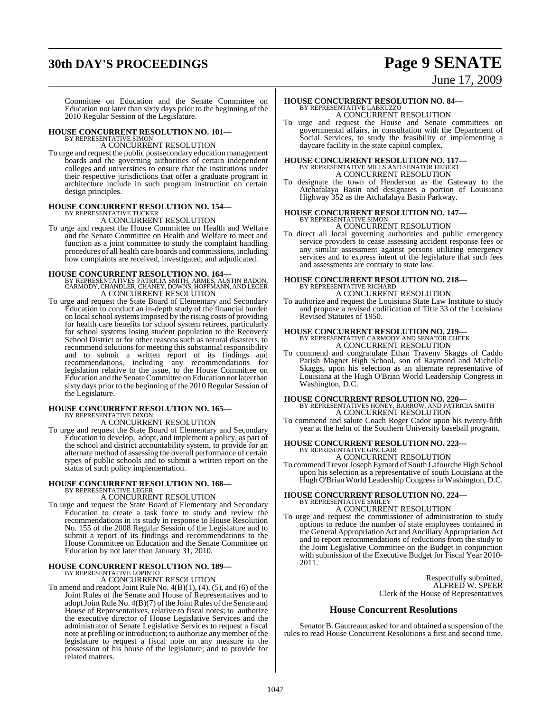## **30th DAY'S PROCEEDINGS Page 9 SENATE**

# June 17, 2009

Committee on Education and the Senate Committee on Education not later than sixty days prior to the beginning of the 2010 Regular Session of the Legislature.

## **HOUSE CONCURRENT RESOLUTION NO. 101—** BY REPRESENTATIVE SIMON

### A CONCURRENT RESOLUTION

To urge and request the public postsecondary education management boards and the governing authorities of certain independent colleges and universities to ensure that the institutions under their respective jurisdictions that offer a graduate program in architecture include in such program instruction on certain design principles.

# **HOUSE CONCURRENT RESOLUTION NO. 154—** BY REPRESENTATIVE TUCKER A CONCURRENT RESOLUTION

To urge and request the House Committee on Health and Welfare and the Senate Committee on Health and Welfare to meet and function as a joint committee to study the complaint handling procedures of all health care boards and commissions, including how complaints are received, investigated, and adjudicated.

- **HOUSE CONCURRENT RESOLUTION NO. 164—** BY REPRESENTATIVES PATRICIA SMITH, ARMES, AUSTIN BADON, CARMODY, CHANDLER, CHANEY, DOWNS, HOFFMANN, AND LEGER A CONCURRENT RESOLUTION
- To urge and request the State Board of Elementary and Secondary Education to conduct an in-depth study of the financial burden on localschoolsystemsimposed by the rising costs of providing for health care benefits for school system retirees, particularly for school systems losing student population to the Recovery School District or for other reasons such as natural disasters, to recommend solutions for meeting this substantial responsibility and to submit a written report of its findings and recommendations, including any recommendations for legislation relative to the issue, to the House Committee on Education and the Senate Committee on Education not later than sixty days prior to the beginning of the 2010 Regular Session of the Legislature.

### **HOUSE CONCURRENT RESOLUTION NO. 165—** BY REPRESENTATIVE DIXON

A CONCURRENT RESOLUTION

To urge and request the State Board of Elementary and Secondary Education to develop, adopt, and implement a policy, as part of the school and district accountability system, to provide for an alternate method of assessing the overall performance of certain types of public schools and to submit a written report on the status of such policy implementation.

### **HOUSE CONCURRENT RESOLUTION NO. 168—** BY REPRESENTATIVE LEGER

A CONCURRENT RESOLUTION

To urge and request the State Board of Elementary and Secondary Education to create a task force to study and review the recommendations in its study in response to House Resolution No. 155 of the 2008 Regular Session of the Legislature and to submit a report of its findings and recommendations to the House Committee on Education and the Senate Committee on Education by not later than January 31, 2010.

### **HOUSE CONCURRENT RESOLUTION NO. 189—** BY REPRESENTATIVE LOPINTO

A CONCURRENT RESOLUTION

To amend and readopt Joint Rule No.  $4(B)(1)$ ,  $(4)$ ,  $(5)$ , and  $(6)$  of the Joint Rules of the Senate and House of Representatives and to adopt Joint Rule No.  $4(B)(7)$  of the Joint Rules of the Senate and House of Representatives, relative to fiscal notes; to authorize the executive director of House Legislative Services and the administrator of Senate Legislative Services to request a fiscal note at prefiling or introduction; to authorize any member of the legislature to request a fiscal note on any measure in the possession of his house of the legislature; and to provide for related matters.

### **HOUSE CONCURRENT RESOLUTION NO. 84—** BY REPRESENTATIVE LABRUZZO A CONCURRENT RESOLUTION

To urge and request the House and Senate committees on governmental affairs, in consultation with the Department of Social Services, to study the feasibility of implementing a daycare facility in the state capitol complex.

# **HOUSE CONCURRENT RESOLUTION NO. 117—** BY REPRESENTATIVE MILLS AND SENATOR HEBERT A CONCURRENT RESOLUTION

To designate the town of Henderson as the Gateway to the Atchafalaya Basin and designates a portion of Louisiana Highway 352 as the Atchafalaya Basin Parkway.

#### **HOUSE CONCURRENT RESOLUTION NO. 147—** BY REPRESENTATIVE SIMON A CONCURRENT RESOLUTION

To direct all local governing authorities and public emergency service providers to cease assessing accident response fees or any similar assessment against persons utilizing emergency services and to express intent of the legislature that such fees

## **HOUSE CONCURRENT RESOLUTION NO. 218—** BY REPRESENTATIVE RICHARD

and assessments are contrary to state law.

A CONCURRENT RESOLUTION

To authorize and request the Louisiana State Law Institute to study and propose a revised codification of Title 33 of the Louisiana Revised Statutes of 1950.

# **HOUSE CONCURRENT RESOLUTION NO. 219—** BY REPRESENTATIVE CARMODY AND SENATOR CHEEK A CONCURRENT RESOLUTION

To commend and congratulate Ethan Traveny Skaggs of Caddo Parish Magnet High School, son of Raymond and Michelle Skaggs, upon his selection as an alternate representative of Louisiana at the Hugh O'Brian World Leadership Congress in Washington, D.C.

**HOUSE CONCURRENT RESOLUTION NO. 220—** BY REPRESENTATIVES HONEY, BARROW, AND PATRICIA SMITH A CONCURRENT RESOLUTION

To commend and salute Coach Roger Cador upon his twenty-fifth year at the helm of the Southern University baseball program.

### **HOUSE CONCURRENT RESOLUTION NO. 223—** BY REPRESENTATIVE GISCLAIR A CONCURRENT RESOLUTION

To commend Trevor Joseph Eymard of South Lafourche High School upon his selection as a representative of south Louisiana at the Hugh O'Brian World Leadership Congressin Washington, D.C.

### **HOUSE CONCURRENT RESOLUTION NO. 224—** BY REPRESENTATIVE SMILEY A CONCURRENT RESOLUTION

To urge and request the commissioner of administration to study options to reduce the number of state employees contained in the General Appropriation Act and Ancillary Appropriation Act and to report recommendations of reductions from the study to the Joint Legislative Committee on the Budget in conjunction with submission of the Executive Budget for Fiscal Year 2010- 2011.

> Respectfully submitted, ALFRED W. SPEER Clerk of the House of Representatives

### **House Concurrent Resolutions**

Senator B. Gautreaux asked for and obtained a suspension of the rules to read House Concurrent Resolutions a first and second time.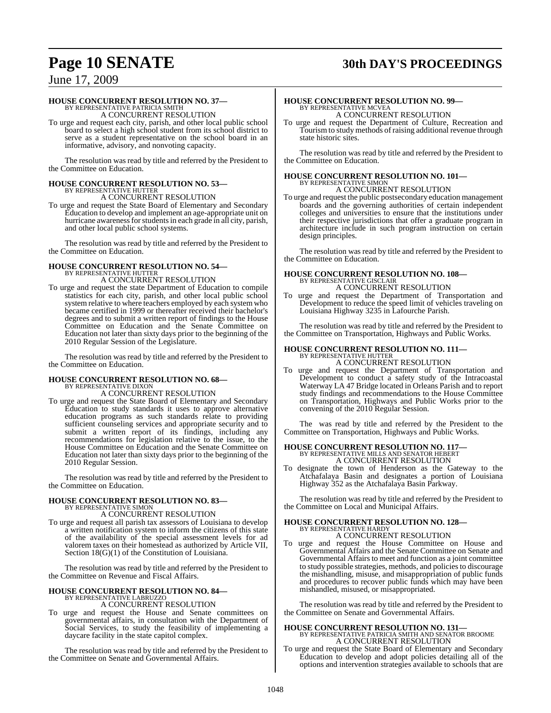## **Page 10 SENATE 30th DAY'S PROCEEDINGS**

### June 17, 2009

### **HOUSE CONCURRENT RESOLUTION NO. 37—**

BY REPRESENTATIVE PATRICIA SMITH A CONCURRENT RESOLUTION

To urge and request each city, parish, and other local public school board to select a high school student from its school district to serve as a student representative on the school board in an informative, advisory, and nonvoting capacity.

The resolution was read by title and referred by the President to the Committee on Education.

## **HOUSE CONCURRENT RESOLUTION NO. 53—** BY REPRESENTATIVE HUTTER

A CONCURRENT RESOLUTION

To urge and request the State Board of Elementary and Secondary Education to develop and implement an age-appropriate unit on hurricane awareness for students in each grade in all city, parish, and other local public school systems.

The resolution was read by title and referred by the President to the Committee on Education.

### **HOUSE CONCURRENT RESOLUTION NO. 54—** BY REPRESENTATIVE HUTTER

A CONCURRENT RESOLUTION

To urge and request the state Department of Education to compile statistics for each city, parish, and other local public school system relative to where teachers employed by each system who became certified in 1999 or thereafter received their bachelor's degrees and to submit a written report of findings to the House Committee on Education and the Senate Committee on Education not later than sixty days prior to the beginning of the 2010 Regular Session of the Legislature.

The resolution was read by title and referred by the President to the Committee on Education.

#### **HOUSE CONCURRENT RESOLUTION NO. 68—** BY REPRESENTATIVE DIXON

A CONCURRENT RESOLUTION

To urge and request the State Board of Elementary and Secondary Education to study standards it uses to approve alternative education programs as such standards relate to providing sufficient counseling services and appropriate security and to submit a written report of its findings, including any recommendations for legislation relative to the issue, to the House Committee on Education and the Senate Committee on Education not later than sixty days prior to the beginning of the 2010 Regular Session.

The resolution was read by title and referred by the President to the Committee on Education.

### **HOUSE CONCURRENT RESOLUTION NO. 83—** BY REPRESENTATIVE SIMON

A CONCURRENT RESOLUTION

To urge and request all parish tax assessors of Louisiana to develop a written notification system to inform the citizens of this state of the availability of the special assessment levels for ad valorem taxes on their homestead as authorized by Article VII, Section  $18(G)(1)$  of the Constitution of Louisiana.

The resolution was read by title and referred by the President to the Committee on Revenue and Fiscal Affairs.

#### **HOUSE CONCURRENT RESOLUTION NO. 84—** BY REPRESENTATIVE LABRUZZO

A CONCURRENT RESOLUTION

To urge and request the House and Senate committees on governmental affairs, in consultation with the Department of Social Services, to study the feasibility of implementing a daycare facility in the state capitol complex.

The resolution was read by title and referred by the President to the Committee on Senate and Governmental Affairs.

### **HOUSE CONCURRENT RESOLUTION NO. 99—** BY REPRESENTATIVE MCVEA A CONCURRENT RESOLUTION

To urge and request the Department of Culture, Recreation and Tourism to study methods of raising additional revenue through state historic sites.

The resolution was read by title and referred by the President to the Committee on Education.

## **HOUSE CONCURRENT RESOLUTION NO. 101—** BY REPRESENTATIVE SIMON

A CONCURRENT RESOLUTION

To urge and request the public postsecondary education management boards and the governing authorities of certain independent colleges and universities to ensure that the institutions under their respective jurisdictions that offer a graduate program in architecture include in such program instruction on certain design principles.

The resolution was read by title and referred by the President to the Committee on Education.

# **HOUSE CONCURRENT RESOLUTION NO. 108—** BY REPRESENTATIVE GISCLAIR A CONCURRENT RESOLUTION

To urge and request the Department of Transportation and Development to reduce the speed limit of vehicles traveling on Louisiana Highway 3235 in Lafourche Parish.

The resolution was read by title and referred by the President to the Committee on Transportation, Highways and Public Works.

## **HOUSE CONCURRENT RESOLUTION NO. 111—** BY REPRESENTATIVE HUTTER

A CONCURRENT RESOLUTION

To urge and request the Department of Transportation and Development to conduct a safety study of the Intracoastal Waterway LA 47 Bridge located in Orleans Parish and to report study findings and recommendations to the House Committee on Transportation, Highways and Public Works prior to the convening of the 2010 Regular Session.

The was read by title and referred by the President to the Committee on Transportation, Highways and Public Works.

## **HOUSE CONCURRENT RESOLUTION NO. 117—** BY REPRESENTATIVE MILLS AND SENATOR HEBERT

A CONCURRENT RESOLUTION

To designate the town of Henderson as the Gateway to the Atchafalaya Basin and designates a portion of Louisiana Highway 352 as the Atchafalaya Basin Parkway.

The resolution was read by title and referred by the President to the Committee on Local and Municipal Affairs.

### **HOUSE CONCURRENT RESOLUTION NO. 128—** BY REPRESENTATIVE HARDY

mishandled, misused, or misappropriated.

A CONCURRENT RESOLUTION To urge and request the House Committee on House and Governmental Affairs and the Senate Committee on Senate and Governmental Affairs to meet and function as a joint committee to study possible strategies, methods, and policies to discourage the mishandling, misuse, and misappropriation of public funds

and procedures to recover public funds which may have been

The resolution was read by title and referred by the President to the Committee on Senate and Governmental Affairs.

### **HOUSE CONCURRENT RESOLUTION NO. 131—** BY REPRESENTATIVE PATRICIA SMITH AND SENATOR BROOME A CONCURRENT RESOLUTION

To urge and request the State Board of Elementary and Secondary Education to develop and adopt policies detailing all of the options and intervention strategies available to schools that are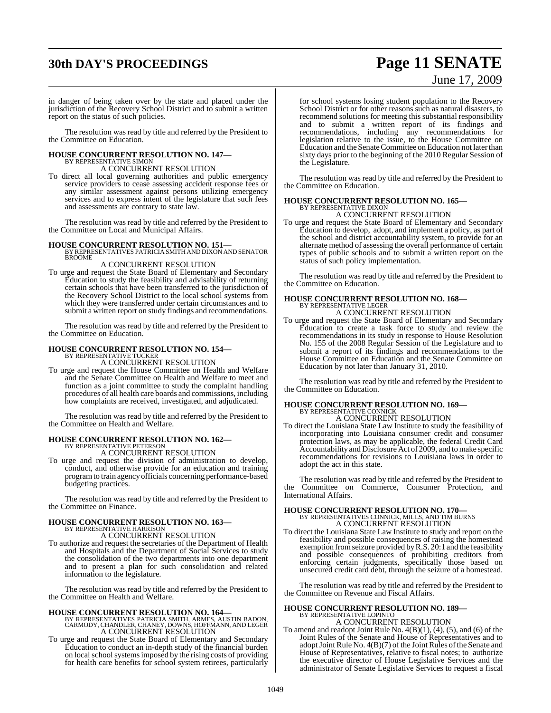## **30th DAY'S PROCEEDINGS Page 11 SENATE**

# June 17, 2009

in danger of being taken over by the state and placed under the jurisdiction of the Recovery School District and to submit a written report on the status of such policies.

The resolution was read by title and referred by the President to the Committee on Education.

### **HOUSE CONCURRENT RESOLUTION NO. 147—** BY REPRESENTATIVE SIMON A CONCURRENT RESOLUTION

To direct all local governing authorities and public emergency service providers to cease assessing accident response fees or any similar assessment against persons utilizing emergency services and to express intent of the legislature that such fees and assessments are contrary to state law.

The resolution was read by title and referred by the President to the Committee on Local and Municipal Affairs.

### **HOUSE CONCURRENT RESOLUTION NO. 151—** BY REPRESENTATIVES PATRICIA SMITH AND DIXON AND SENATOR

BROOME

### A CONCURRENT RESOLUTION

To urge and request the State Board of Elementary and Secondary Education to study the feasibility and advisability of returning certain schools that have been transferred to the jurisdiction of the Recovery School District to the local school systems from which they were transferred under certain circumstances and to submit a written report on study findings and recommendations.

The resolution was read by title and referred by the President to the Committee on Education.

# **HOUSE CONCURRENT RESOLUTION NO. 154—** BY REPRESENTATIVE TUCKER A CONCURRENT RESOLUTION

To urge and request the House Committee on Health and Welfare and the Senate Committee on Health and Welfare to meet and function as a joint committee to study the complaint handling procedures of all health care boards and commissions, including how complaints are received, investigated, and adjudicated.

The resolution was read by title and referred by the President to the Committee on Health and Welfare.

## **HOUSE CONCURRENT RESOLUTION NO. 162—** BY REPRESENTATIVE PETERSON

A CONCURRENT RESOLUTION

To urge and request the division of administration to develop, conduct, and otherwise provide for an education and training programto train agency officials concerning performance-based budgeting practices.

The resolution was read by title and referred by the President to the Committee on Finance.

### **HOUSE CONCURRENT RESOLUTION NO. 163—** BY REPRESENTATIVE HARRISON A CONCURRENT RESOLUTION

To authorize and request the secretaries of the Department of Health and Hospitals and the Department of Social Services to study the consolidation of the two departments into one department and to present a plan for such consolidation and related information to the legislature.

The resolution was read by title and referred by the President to the Committee on Health and Welfare.

- **HOUSE CONCURRENT RESOLUTION NO. 164—** BY REPRESENTATIVES PATRICIA SMITH, ARMES, AUSTIN BADON, CARMODY, CHANDLER, CHANEY, DOWNS, HOFFMANN, AND LEGER A CONCURRENT RESOLUTION
- To urge and request the State Board of Elementary and Secondary Education to conduct an in-depth study of the financial burden on local school systems imposed by the rising costs of providing for health care benefits for school system retirees, particularly

for school systems losing student population to the Recovery School District or for other reasons such as natural disasters, to recommend solutions for meeting this substantial responsibility and to submit a written report of its findings and recommendations, including any recommendations for legislation relative to the issue, to the House Committee on Education and the Senate Committee on Education not later than sixty days prior to the beginning of the 2010 Regular Session of the Legislature.

The resolution was read by title and referred by the President to the Committee on Education.

#### **HOUSE CONCURRENT RESOLUTION NO. 165—** BY REPRESENTATIVE DIXON

A CONCURRENT RESOLUTION

To urge and request the State Board of Elementary and Secondary Education to develop, adopt, and implement a policy, as part of the school and district accountability system, to provide for an alternate method of assessing the overall performance of certain types of public schools and to submit a written report on the status of such policy implementation.

The resolution was read by title and referred by the President to the Committee on Education.

### **HOUSE CONCURRENT RESOLUTION NO. 168—** BY REPRESENTATIVE LEGER A CONCURRENT RESOLUTION

To urge and request the State Board of Elementary and Secondary Education to create a task force to study and review the recommendations in its study in response to House Resolution No. 155 of the 2008 Regular Session of the Legislature and to submit a report of its findings and recommendations to the House Committee on Education and the Senate Committee on Education by not later than January 31, 2010.

The resolution was read by title and referred by the President to the Committee on Education.

### **HOUSE CONCURRENT RESOLUTION NO. 169—** BY REPRESENTATIVE CONNICK A CONCURRENT RESOLUTION

To direct the Louisiana State Law Institute to study the feasibility of incorporating into Louisiana consumer credit and consumer protection laws, as may be applicable, the federal Credit Card Accountability and Disclosure Act of 2009, and tomake specific recommendations for revisions to Louisiana laws in order to adopt the act in this state.

The resolution was read by title and referred by the President to the Committee on Commerce, Consumer Protection, and International Affairs.

### **HOUSE CONCURRENT RESOLUTION NO. 170—** BY REPRESENTATIVES CONNICK, MILLS, AND TIM BURNS A CONCURRENT RESOLUTION

To direct the Louisiana State Law Institute to study and report on the feasibility and possible consequences of raising the homestead exemption fromseizure provided byR.S. 20:1 and the feasibility and possible consequences of prohibiting creditors from enforcing certain judgments, specifically those based on unsecured credit card debt, through the seizure of a homestead.

The resolution was read by title and referred by the President to the Committee on Revenue and Fiscal Affairs.

#### **HOUSE CONCURRENT RESOLUTION NO. 189—** BY REPRESENTATIVE LOPINTO

A CONCURRENT RESOLUTION

To amend and readopt Joint Rule No. 4(B)(1), (4), (5), and (6) of the Joint Rules of the Senate and House of Representatives and to adopt Joint Rule No. 4(B)(7) of the Joint Rules of the Senate and House of Representatives, relative to fiscal notes; to authorize the executive director of House Legislative Services and the administrator of Senate Legislative Services to request a fiscal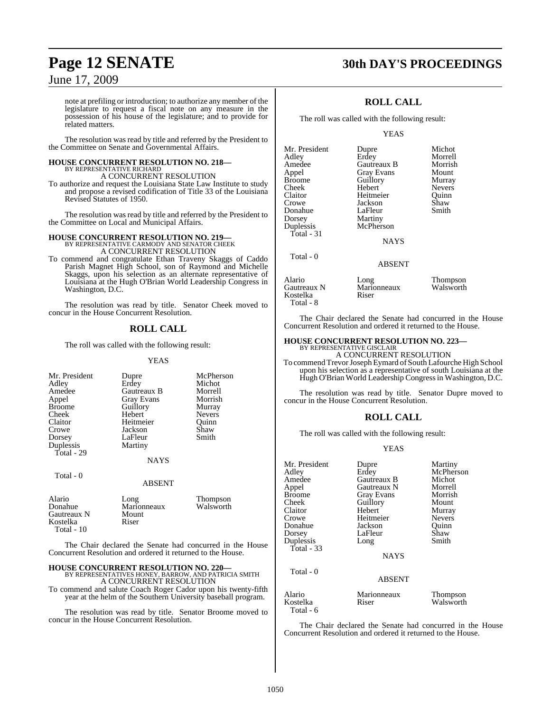## **Page 12 SENATE 30th DAY'S PROCEEDINGS**

### June 17, 2009

note at prefiling or introduction; to authorize any member of the legislature to request a fiscal note on any measure in the possession of his house of the legislature; and to provide for related matters.

The resolution was read by title and referred by the President to the Committee on Senate and Governmental Affairs.

### **HOUSE CONCURRENT RESOLUTION NO. 218—** BY REPRESENTATIVE RICHARD A CONCURRENT RESOLUTION

To authorize and request the Louisiana State Law Institute to study and propose a revised codification of Title 33 of the Louisiana Revised Statutes of 1950.

The resolution was read by title and referred by the President to the Committee on Local and Municipal Affairs.

### **HOUSE CONCURRENT RESOLUTION NO. 219—** BY REPRESENTATIVE CARMODY AND SENATOR CHEEK A CONCURRENT RESOLUTION

To commend and congratulate Ethan Traveny Skaggs of Caddo Parish Magnet High School, son of Raymond and Michelle Skaggs, upon his selection as an alternate representative of Louisiana at the Hugh O'Brian World Leadership Congress in Washington, D.C.

The resolution was read by title. Senator Cheek moved to concur in the House Concurrent Resolution.

### **ROLL CALL**

The roll was called with the following result:

### YEAS

| Mr. President<br>Adley<br>Amedee<br>Appel<br><b>Broome</b><br>Cheek<br>Claitor<br>Crowe<br>Dorsey<br>Duplessis<br>Total - 29 | Dupre<br>Erdey<br>Gautreaux B<br><b>Gray Evans</b><br>Guillory<br>Hebert<br>Heitmeier<br>Jackson<br>LaFleur<br>Martiny<br><b>NAYS</b> | McPherson<br>Michot<br>Morrell<br>Morrish<br>Murray<br><b>Nevers</b><br>Ouinn<br>Shaw<br>Smith |
|------------------------------------------------------------------------------------------------------------------------------|---------------------------------------------------------------------------------------------------------------------------------------|------------------------------------------------------------------------------------------------|
| Total - 0                                                                                                                    | <b>ABSENT</b>                                                                                                                         |                                                                                                |
| Alario<br>Donahue<br>Gautreaux N<br>Kostelka                                                                                 | Long<br>Marionneaux<br>Mount<br>Riser                                                                                                 | <b>Thompson</b><br>Walsworth                                                                   |

The Chair declared the Senate had concurred in the House Concurrent Resolution and ordered it returned to the House.

#### **HOUSE CONCURRENT RESOLUTION NO. 220—** BY REPRESENTATIVES HONEY, BARROW, AND PATRICIA SMITH A CONCURRENT RESOLUTION

Kostelka Total - 10

To commend and salute Coach Roger Cador upon his twenty-fifth year at the helm of the Southern University baseball program.

The resolution was read by title. Senator Broome moved to concur in the House Concurrent Resolution.

### **ROLL CALL**

The roll was called with the following result:

YEAS

| Mr. President | Dupre         | Michot        |
|---------------|---------------|---------------|
| Adley         | Erdey         | Morrell       |
| Amedee        | Gautreaux B   | Morrish       |
| Appel         | Gray Evans    | Mount         |
| <b>Broome</b> | Guillory      | Murray        |
| Cheek         | Hebert        | <b>Nevers</b> |
| Claitor       | Heitmeier     | Ouinn         |
| Crowe         | Jackson       | Shaw          |
| Donahue       | LaFleur       | Smith         |
| Dorsey        | Martiny       |               |
| Duplessis     | McPherson     |               |
| Total - 31    |               |               |
|               | <b>NAYS</b>   |               |
| Total - 0     |               |               |
|               | <b>ABSENT</b> |               |
| Alario        | Long          | Thompson      |

Gautreaux N<br>Kostelka **Nationalis**<br>Riser

Kostelka Total - 8

| Thompson  |
|-----------|
| Walsworth |

The Chair declared the Senate had concurred in the House Concurrent Resolution and ordered it returned to the House.

### **HOUSE CONCURRENT RESOLUTION NO. 223—**

BY REPRESENTATIVE GISCLAIR A CONCURRENT RESOLUTION

To commend Trevor Joseph Eymard of South Lafourche High School upon his selection as a representative of south Louisiana at the Hugh O'Brian World Leadership Congressin Washington, D.C.

The resolution was read by title. Senator Dupre moved to concur in the House Concurrent Resolution.

### **ROLL CALL**

The roll was called with the following result:

### YEAS

| Mr. President | Dupre             | Martiny         |
|---------------|-------------------|-----------------|
| Adley         | Erdey             | McPherson       |
| Amedee        | Gautreaux B       | Michot          |
| Appel         | Gautreaux N       | Morrell         |
| <b>Broome</b> | <b>Gray Evans</b> | Morrish         |
| Cheek         | Guillory          | Mount           |
| Claitor       | Hebert            | Murray          |
| Crowe         | Heitmeier         | <b>Nevers</b>   |
| Donahue       | Jackson           | Ouinn           |
| Dorsey        | LaFleur           | Shaw            |
| Duplessis     | Long              | Smith           |
| Total $-33$   |                   |                 |
|               | <b>NAYS</b>       |                 |
|               |                   |                 |
| Total - 0     |                   |                 |
|               | <b>ABSENT</b>     |                 |
| Alario        | Marionneaux       | <b>Thompson</b> |
| Kostelka      | Riser             | Walsworth       |
| Total - 6     |                   |                 |
|               |                   |                 |

The Chair declared the Senate had concurred in the House Concurrent Resolution and ordered it returned to the House.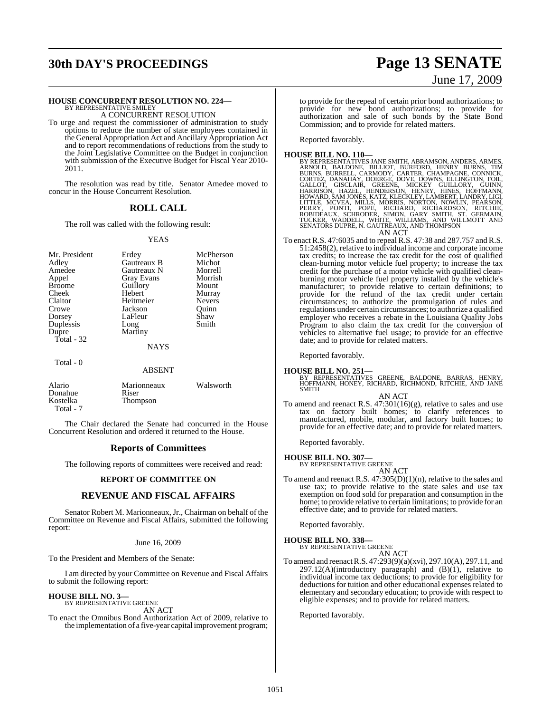## **30th DAY'S PROCEEDINGS Page 13 SENATE**

### **HOUSE CONCURRENT RESOLUTION NO. 224—**

BY REPRESENTATIVE SMILEY A CONCURRENT RESOLUTION

To urge and request the commissioner of administration to study options to reduce the number of state employees contained in the General Appropriation Act and Ancillary Appropriation Act and to report recommendations of reductions from the study to the Joint Legislative Committee on the Budget in conjunction with submission of the Executive Budget for Fiscal Year 2010- 2011.

The resolution was read by title. Senator Amedee moved to concur in the House Concurrent Resolution.

### **ROLL CALL**

The roll was called with the following result:

### YEAS

| Mr. President<br>Adley<br>Amedee<br>Appel<br><b>Broome</b><br>Cheek<br>Claitor<br>Crowe<br>Dorsey<br>Duplessis<br>Dupre<br>Total $-32$ | Erdey<br>Gautreaux B<br>Gautreaux N<br><b>Gray Evans</b><br>Guillory<br>Hebert<br>Heitmeier<br>Jackson<br>LaFleur<br>Long<br>Martiny | McPherson<br>Michot<br>Morrell<br>Morrish<br>Mount<br>Murray<br><b>Nevers</b><br>Ouinn<br>Shaw<br>Smith |
|----------------------------------------------------------------------------------------------------------------------------------------|--------------------------------------------------------------------------------------------------------------------------------------|---------------------------------------------------------------------------------------------------------|
|                                                                                                                                        | <b>NAYS</b>                                                                                                                          |                                                                                                         |
| Total - 0                                                                                                                              | <b>ABSENT</b>                                                                                                                        |                                                                                                         |

| Alario    | Marionneaux     | Walsworth |
|-----------|-----------------|-----------|
| Donahue   | Riser           |           |
| Kostelka  | <b>Thompson</b> |           |
| Total - 7 |                 |           |

The Chair declared the Senate had concurred in the House Concurrent Resolution and ordered it returned to the House.

### **Reports of Committees**

The following reports of committees were received and read:

### **REPORT OF COMMITTEE ON**

### **REVENUE AND FISCAL AFFAIRS**

Senator Robert M. Marionneaux, Jr., Chairman on behalf of the Committee on Revenue and Fiscal Affairs, submitted the following report:

### June 16, 2009

To the President and Members of the Senate:

I am directed by your Committee on Revenue and Fiscal Affairs to submit the following report:

**HOUSE BILL NO. 3—** BY REPRESENTATIVE GREENE

AN ACT

To enact the Omnibus Bond Authorization Act of 2009, relative to the implementation of a five-year capital improvement program;

# June 17, 2009

to provide for the repeal of certain prior bond authorizations; to provide for new bond authorizations; to provide for authorization and sale of such bonds by the State Bond Commission; and to provide for related matters.

Reported favorably.

HOUSE BILL NO. 110—<br>BY REPRESENTATIVES JANE SMITH, ABRAMSON, ANDERS, ARMES, ARNOLD, BALDONE, BILLIOT, BURFORD, HENRY BURNS, TIM<br>BURNS, BURRELL, CARMODY, CARTER, CHAMPAGNE, CONNICK,<br>CORTEZ, DANAHAY, DOERGE, DOVE, DOWNS, ELL AN ACT

To enact R.S. 47:6035 and to repeal R.S. 47:38 and 287.757 and R.S. 51:2458(2), relative to individual income and corporate income tax credits; to increase the tax credit for the cost of qualified clean-burning motor vehicle fuel property; to increase the tax credit for the purchase of a motor vehicle with qualified cleanburning motor vehicle fuel property installed by the vehicle's manufacturer; to provide relative to certain definitions; to provide for the refund of the tax credit under certain circumstances; to authorize the promulgation of rules and regulations under certain circumstances; to authorize a qualified employer who receives a rebate in the Louisiana Quality Jobs Program to also claim the tax credit for the conversion of vehicles to alternative fuel usage; to provide for an effective date; and to provide for related matters.

Reported favorably.

**HOUSE BILL NO. 251—** BY REPRESENTATIVES GREENE, BALDONE, BARRAS, HENRY, HOFFMANN, HONEY, RICHARD, RICHMOND, RITCHIE, AND JANE **SMITH** 

#### AN ACT

To amend and reenact R.S. 47:301(16)(g), relative to sales and use tax on factory built homes; to clarify references to manufactured, mobile, modular, and factory built homes; to provide for an effective date; and to provide for related matters.

Reported favorably.

**HOUSE BILL NO. 307—** BY REPRESENTATIVE GREENE AN ACT

To amend and reenact R.S. 47:305(D)(1)(n), relative to the sales and use tax; to provide relative to the state sales and use tax exemption on food sold for preparation and consumption in the home; to provide relative to certain limitations; to provide for an effective date; and to provide for related matters.

Reported favorably.

#### **HOUSE BILL NO. 338—** BY REPRESENTATIVE GREENE

AN ACT

To amend and reenact R.S. 47:293(9)(a)(xvi), 297.10(A), 297.11, and 297.12(A)(introductory paragraph) and (B)(1), relative to individual income tax deductions; to provide for eligibility for deductions for tuition and other educational expenses related to elementary and secondary education; to provide with respect to eligible expenses; and to provide for related matters.

Reported favorably.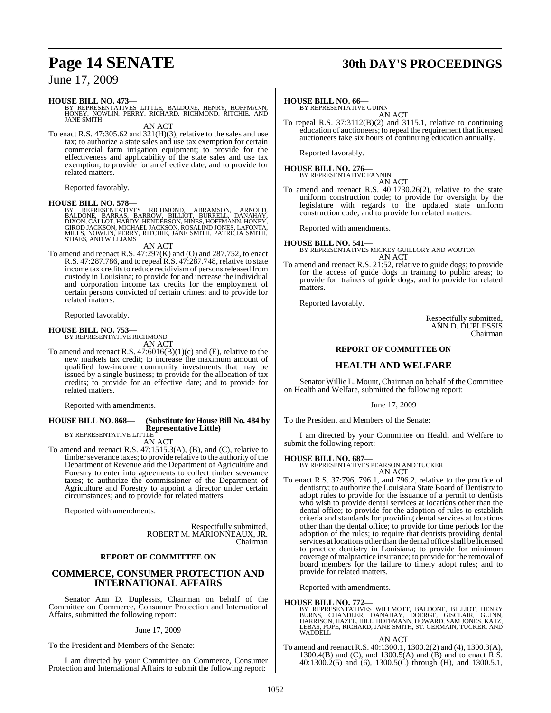## **Page 14 SENATE 30th DAY'S PROCEEDINGS**

### June 17, 2009

**HOUSE BILL NO. 473—** BY REPRESENTATIVES LITTLE, BALDONE, HENRY, HOFFMANN, HONEY, NOWLIN, PERRY, RICHARD, RICHMOND, RITCHIE, AND JANE SMITH

AN ACT

To enact R.S.  $47:305.62$  and  $321(H)(3)$ , relative to the sales and use tax; to authorize a state sales and use tax exemption for certain commercial farm irrigation equipment; to provide for the effectiveness and applicability of the state sales and use tax exemption; to provide for an effective date; and to provide for related matters.

Reported favorably.

### **HOUSE BILL NO. 578—**

BY REPRESENTATIVES RICHMOND, ABRAMSON, ARNOLD.<br>BALDONE, BARRAS, BARROW, BILLIOT, BURRELL, DANAHAY,<br>DIXON,GALLOT,HARDY,HENDERSON,HINES,HOFFMANN,HONEY, GIROD JACKSON, MICHAEL JACKSON, ROSALIND JONES, LAFONTA, MILLS, NOWLIN, PERRY, RITCHIE, JANE SMITH, PATRICIA SMITH, STIAES, AND WILLIAMS

AN ACT

To amend and reenact R.S. 47:297(K) and (O) and 287.752, to enact R.S. 47:287.786, and to repeal R.S. 47:287.748, relative to state income tax credits to reduce recidivism of persons released from custody in Louisiana; to provide for and increase the individual and corporation income tax credits for the employment of certain persons convicted of certain crimes; and to provide for related matters.

Reported favorably.

### **HOUSE BILL NO. 753—**

BY REPRESENTATIVE RICHMOND AN ACT

To amend and reenact R.S. 47:6016(B)(1)(c) and (E), relative to the new markets tax credit; to increase the maximum amount of qualified low-income community investments that may be issued by a single business; to provide for the allocation of tax credits; to provide for an effective date; and to provide for related matters.

Reported with amendments.

#### **HOUSE BILL NO. 868— (Substitute for HouseBill No. 484 by Representative Little)** BY REPRESENTATIVE LITTLE

AN ACT

To amend and reenact R.S. 47:1515.3(A), (B), and (C), relative to timber severance taxes; to provide relative to the authority of the Department of Revenue and the Department of Agriculture and Forestry to enter into agreements to collect timber severance taxes; to authorize the commissioner of the Department of Agriculture and Forestry to appoint a director under certain circumstances; and to provide for related matters.

Reported with amendments.

Respectfully submitted, ROBERT M. MARIONNEAUX, JR. Chairman

### **REPORT OF COMMITTEE ON**

### **COMMERCE, CONSUMER PROTECTION AND INTERNATIONAL AFFAIRS**

Senator Ann D. Duplessis, Chairman on behalf of the Committee on Commerce, Consumer Protection and International Affairs, submitted the following report:

June 17, 2009

To the President and Members of the Senate:

I am directed by your Committee on Commerce, Consumer Protection and International Affairs to submit the following report:

### **HOUSE BILL NO. 66—**

BY REPRESENTATIVE GUINN AN ACT

To repeal R.S. 37:3112(B)(2) and 3115.1, relative to continuing education of auctioneers; to repeal the requirement that licensed auctioneers take six hours of continuing education annually.

Reported favorably.

#### **HOUSE BILL NO. 276—** BY REPRESENTATIVE FANNIN

AN ACT

To amend and reenact R.S. 40:1730.26(2), relative to the state uniform construction code; to provide for oversight by the legislature with regards to the updated state uniform construction code; and to provide for related matters.

Reported with amendments.

**HOUSE BILL NO. 541—** BY REPRESENTATIVES MICKEY GUILLORY AND WOOTON AN ACT

To amend and reenact R.S. 21:52, relative to guide dogs; to provide for the access of guide dogs in training to public areas; to provide for trainers of guide dogs; and to provide for related matters.

Reported favorably.

Respectfully submitted, ANN D. DUPLESSIS Chairman

### **REPORT OF COMMITTEE ON**

### **HEALTH AND WELFARE**

Senator Willie L. Mount, Chairman on behalf of the Committee on Health and Welfare, submitted the following report:

June 17, 2009

To the President and Members of the Senate:

I am directed by your Committee on Health and Welfare to submit the following report:

### **HOUSE BILL NO. 687—**

BY REPRESENTATIVES PEARSON AND TUCKER AN ACT

To enact R.S. 37:796, 796.1, and 796.2, relative to the practice of dentistry; to authorize the Louisiana State Board of Dentistry to adopt rules to provide for the issuance of a permit to dentists who wish to provide dental services at locations other than the dental office; to provide for the adoption of rules to establish criteria and standards for providing dental services at locations other than the dental office; to provide for time periods for the adoption of the rules; to require that dentists providing dental services at locations other than the dental office shall be licensed to practice dentistry in Louisiana; to provide for minimum coverage of malpractice insurance; to provide for the removal of board members for the failure to timely adopt rules; and to provide for related matters.

Reported with amendments.

**HOUSE BILL NO. 772—**<br>BY REPRESENTATIVES WILLMOTT, BALDONE, BILLIOT, HENRY<br>BURNS, CHANDLER, DANAHAY, DOERGE, GISCLAIR, GUINN,<br>HARRISON, HAZEL, HILL, HOFFMANN, HOWARD, SAM JONES, KATZ, LEBAS, POPE, RICHARD, JANE SMITH, ST. GERMAIN, TUCKER, AND WADDELL

AN ACT

To amend and reenact R.S. 40:1300.1, 1300.2(2) and (4), 1300.3(A), 1300.4(B) and (C), and 1300.5(A) and (B) and to enact R.S. 40:1300.2(5) and (6), 1300.5(C) through (H), and 1300.5.1,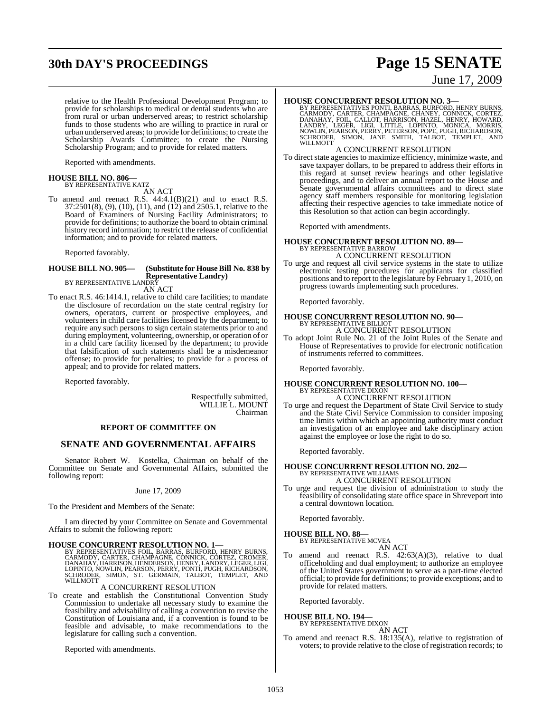## **30th DAY'S PROCEEDINGS Page 15 SENATE**

#### relative to the Health Professional Development Program; to provide for scholarships to medical or dental students who are from rural or urban underserved areas; to restrict scholarship funds to those students who are willing to practice in rural or urban underserved areas; to provide for definitions; to create the Scholarship Awards Committee; to create the Nursing Scholarship Program; and to provide for related matters.

Reported with amendments.

### **HOUSE BILL NO. 806—** BY REPRESENTATIVE KATZ

AN ACT

To amend and reenact R.S.  $44:4.1(B)(21)$  and to enact R.S. 37:2501(8), (9), (10), (11), and (12) and 2505.1, relative to the Board of Examiners of Nursing Facility Administrators; to provide for definitions; to authorize the board to obtain criminal history record information; to restrict the release of confidential information; and to provide for related matters.

Reported favorably.

### **HOUSE BILL NO. 905— (Substitute for HouseBill No. 838 by Representative Landry)**

BY REPRESENTATIVE LANDRY AN ACT

To enact R.S. 46:1414.1, relative to child care facilities; to mandate the disclosure of recordation on the state central registry for owners, operators, current or prospective employees, and volunteers in child care facilities licensed by the department; to require any such persons to sign certain statements prior to and during employment, volunteering, ownership, or operation of or in a child care facility licensed by the department; to provide that falsification of such statements shall be a misdemeanor offense; to provide for penalties; to provide for a process of appeal; and to provide for related matters.

Reported favorably.

Respectfully submitted, WILLIE L. MOUNT Chairman

### **REPORT OF COMMITTEE ON**

### **SENATE AND GOVERNMENTAL AFFAIRS**

Senator Robert W. Kostelka, Chairman on behalf of the Committee on Senate and Governmental Affairs, submitted the following report:

### June 17, 2009

To the President and Members of the Senate:

I am directed by your Committee on Senate and Governmental Affairs to submit the following report:

**HOUSE CONCURRENT RESOLUTION NO. 1—**<br>BY REPRESENTATIVES FOIL, BARRAS, BURFORD, HENRY BURNS, CARMODY, CARTER, CHAMPAGNE, CONNICK, CORTEZ, CROMER,<br>DANAHAY, HARRISON, HENDERSON, HENRY, LANDRY, LEGER, LIGI,<br>LOPINTO, NOWLIN, PE

### A CONCURRENT RESOLUTION

To create and establish the Constitutional Convention Study Commission to undertake all necessary study to examine the feasibility and advisability of calling a convention to revise the Constitution of Louisiana and, if a convention is found to be feasible and advisable, to make recommendations to the legislature for calling such a convention.

Reported with amendments.

### June 17, 2009

**HOUSE CONCURRENT RESOLUTION NO. 3**<br>BY REPRESENTATIVES PONTI, BARRAS, BURFORD, HENRY BURNS, CARMODY, CARTER, CHAMPAGNE, CHANEY, CONNICK, CORTEZ,<br>DANAHAY, FOIL, GALLOT, HARRISON, HAZEL, HENRY, HOWARD,<br>LANDRY, LEGER, LIGI, L WILLMOTT

### A CONCURRENT RESOLUTION

To direct state agencies to maximize efficiency, minimize waste, and save taxpayer dollars, to be prepared to address their efforts in this regard at sunset review hearings and other legislative proceedings, and to deliver an annual report to the House and Senate governmental affairs committees and to direct state agency staff members responsible for monitoring legislation affecting their respective agencies to take immediate notice of this Resolution so that action can begin accordingly.

Reported with amendments.

#### **HOUSE CONCURRENT RESOLUTION NO. 89—** BY REPRESENTATIVE BARROW A CONCURRENT RESOLUTION

To urge and request all civil service systems in the state to utilize electronic testing procedures for applicants for classified positions and to report to the legislature by February 1, 2010, on progress towards implementing such procedures.

Reported favorably.

### **HOUSE CONCURRENT RESOLUTION NO. 90—** BY REPRESENTATIVE BILLIOT A CONCURRENT RESOLUTION

To adopt Joint Rule No. 21 of the Joint Rules of the Senate and House of Representatives to provide for electronic notification of instruments referred to committees.

Reported favorably.

### **HOUSE CONCURRENT RESOLUTION NO. 100—** BY REPRESENTATIVE DIXON A CONCURRENT RESOLUTION

To urge and request the Department of State Civil Service to study and the State Civil Service Commission to consider imposing time limits within which an appointing authority must conduct an investigation of an employee and take disciplinary action against the employee or lose the right to do so.

Reported favorably.

### **HOUSE CONCURRENT RESOLUTION NO. 202—** BY REPRESENTATIVE WILLIAMS

A CONCURRENT RESOLUTION

To urge and request the division of administration to study the feasibility of consolidating state office space in Shreveport into a central downtown location.

Reported favorably.

### **HOUSE BILL NO. 88—**

BY REPRESENTATIVE MCVEA AN ACT

- 
- To amend and reenact R.S. 42:63(A)(3), relative to dual officeholding and dual employment; to authorize an employee of the United States government to serve as a part-time elected official; to provide for definitions; to provide exceptions; and to provide for related matters.

Reported favorably.

### **HOUSE BILL NO. 194—** BY REPRESENTATIVE DIXON

AN ACT

To amend and reenact R.S. 18:135(A), relative to registration of voters; to provide relative to the close of registration records; to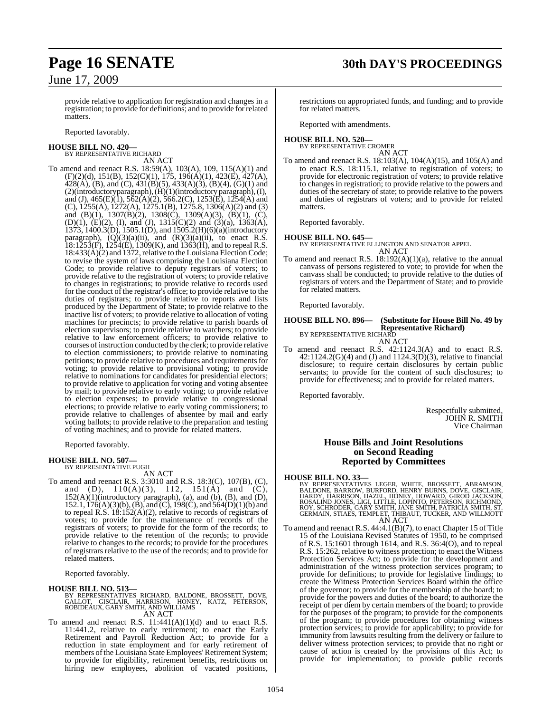## **Page 16 SENATE 30th DAY'S PROCEEDINGS**

### June 17, 2009

provide relative to application for registration and changes in a registration; to provide for definitions; and to provide forrelated matters.

Reported favorably.

## **HOUSE BILL NO. 420—** BY REPRESENTATIVE RICHARD

AN ACT To amend and reenact R.S. 18:59(A), 103(A), 109, 115(A)(1) and (F)(2)(d), 151(B), 152(C)(1), 175, 196(A)(1), 423(E), 427(A), 428(A), (B), and (C), 431(B)(5), 433(A)(3), (B)(4), (G)(1) and (2)(introductory paragraph), (H)(1)(introductory paragraph), (I), and (J),  $465(E)(1)$ ,  $562(A)(2)$ ,  $566.2(C)$ ,  $1253(E)$ ,  $1254(A)$  and (C), 1255(A), 1272(A), 1275.1(B), 1275.8, 1306(A)(2) and (3) and (B)(1), 1307(B)(2), 1308(C), 1309(A)(3), (B)(1), (C), (D)(1), (E)(2), (I), and (J), 1315(C)(2) and (3)(a), 1363(A),  $1373, 1400.3(D), 1505.1(D),$  and  $1505.2(H)(6)(a)(introductiony)$ paragraph),  $(Q)(3)(a)(ii)$ , and  $(R)(3)(a)(ii)$ , to enact R.S. 18:1253(F), 1254(E), 1309(K), and 1363(H), and to repeal R.S. 18:433(A)(2) and 1372, relative to the Louisiana Election Code; to revise the system of laws comprising the Louisiana Election Code; to provide relative to deputy registrars of voters; to provide relative to the registration of voters; to provide relative to changes in registrations; to provide relative to records used for the conduct of the registrar's office; to provide relative to the duties of registrars; to provide relative to reports and lists produced by the Department of State; to provide relative to the inactive list of voters; to provide relative to allocation of voting machines for precincts; to provide relative to parish boards of election supervisors; to provide relative to watchers; to provide relative to law enforcement officers; to provide relative to courses of instruction conducted by the clerk; to provide relative to election commissioners; to provide relative to nominating petitions; to provide relative to procedures and requirements for voting; to provide relative to provisional voting; to provide relative to nominations for candidates for presidential electors; to provide relative to application for voting and voting absentee by mail; to provide relative to early voting; to provide relative to election expenses; to provide relative to congressional elections; to provide relative to early voting commissioners; to provide relative to challenges of absentee by mail and early voting ballots; to provide relative to the preparation and testing of voting machines; and to provide for related matters.

Reported favorably.

#### **HOUSE BILL NO. 507—** BY REPRESENTATIVE PUGH

### AN ACT

To amend and reenact R.S. 3:3010 and R.S. 18:3(C), 107(B), (C), and (D),  $110(A)(3)$ ,  $112$ ,  $151(A)$  and (C),  $152(A)(1)$ (introductory paragraph), (a), and (b), (B), and (D), 152.1,  $176(A)(3)(b)$ ,  $(\dot{B})$ , and  $(\dot{C})$ ,  $198(\dot{C})$ , and  $564(\dot{D})(1)(b)$  and to repeal R.S. 18:152(A)(2), relative to records of registrars of voters; to provide for the maintenance of records of the registrars of voters; to provide for the form of the records; to provide relative to the retention of the records; to provide relative to changes to the records; to provide for the procedures of registrars relative to the use of the records; and to provide for related matters.

Reported favorably.

### **HOUSE BILL NO. 513—**

### BY REPRESENTATIVES RICHARD, BALDONE, BROSSETT, DOVE,<br>GALLOT, GISCLAIR, HARRISON, HONEY, KATZ, PETERSON,<br>ROBIDEAUX, GARY SMITH, AND WILLIAMS AN ACT

To amend and reenact R.S.  $11:441(A)(1)(d)$  and to enact R.S. 11:441.2, relative to early retirement; to enact the Early Retirement and Payroll Reduction Act; to provide for a reduction in state employment and for early retirement of members of the Louisiana Štate Employees' Retirement System; to provide for eligibility, retirement benefits, restrictions on hiring new employees, abolition of vacated positions, restrictions on appropriated funds, and funding; and to provide for related matters.

Reported with amendments.

### **HOUSE BILL NO. 520—** BY REPRESENTATIVE CROMER

AN ACT To amend and reenact R.S. 18:103(A), 104(A)(15), and 105(A) and to enact R.S. 18:115.1, relative to registration of voters; to provide for electronic registration of voters; to provide relative to changes in registration; to provide relative to the powers and duties of the secretary of state; to provide relative to the powers and duties of registrars of voters; and to provide for related matters.

Reported favorably.

### **HOUSE BILL NO. 645—**

BY REPRESENTATIVE ELLINGTON AND SENATOR APPEL AN ACT

To amend and reenact R.S. 18:192(A)(1)(a), relative to the annual canvass of persons registered to vote; to provide for when the canvass shall be conducted; to provide relative to the duties of registrars of voters and the Department of State; and to provide for related matters.

Reported favorably.

#### **HOUSE BILL NO. 896— (Substitute for House Bill No. 49 by Representative Richard)** BY REPRESENTATIVE RICHARD AN ACT

To amend and reenact R.S. 42:1124.3(A) and to enact R.S.  $42:1124.2(G)(4)$  and (J) and  $1124.3(D)(3)$ , relative to financial disclosure; to require certain disclosures by certain public servants; to provide for the content of such disclosures; to provide for effectiveness; and to provide for related matters.

Reported favorably.

Respectfully submitted, JOHN R. SMITH Vice Chairman

### **House Bills and Joint Resolutions on Second Reading Reported by Committees**

### **HOUSE BILL NO. 33—**

BY REPRESENTATIVES LEGER, WHITE, BROSSETT, ABRAMSON,<br>BALDONE, BARROW, BURFORD, HENRY BURNS, DOVE, GISCLAIR,<br>HARDY, HARRISON, HAZEL, HONEY, HOWARD, GIROD JACKSON,<br>ROSALIND JONES, LIGI, LITTLE, LOPINTO, PETERSON, RICHMOND,<br>R

To amend and reenact R.S. 44:4.1(B)(7), to enact Chapter 15 of Title 15 of the Louisiana Revised Statutes of 1950, to be comprised of R.S. 15:1601 through 1614, and R.S. 36:4(O), and to repeal R.S. 15:262, relative to witness protection; to enact the Witness Protection Services Act; to provide for the development and administration of the witness protection services program; to provide for definitions; to provide for legislative findings; to create the Witness Protection Services Board within the office of the governor; to provide for the membership of the board; to provide for the powers and duties of the board; to authorize the receipt of per diem by certain members of the board; to provide for the purposes of the program; to provide for the components of the program; to provide procedures for obtaining witness protection services; to provide for applicability; to provide for immunity from lawsuits resulting from the delivery or failure to deliver witness protection services; to provide that no right or cause of action is created by the provisions of this Act; to provide for implementation; to provide public records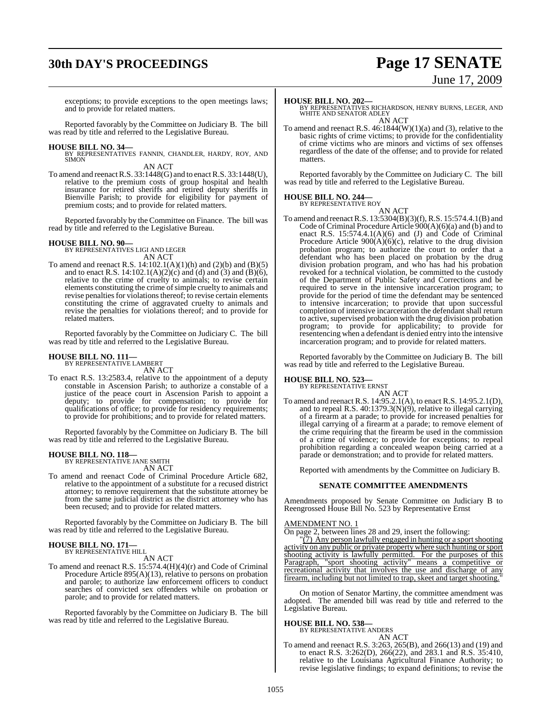## **30th DAY'S PROCEEDINGS Page 17 SENATE**

# June 17, 2009

exceptions; to provide exceptions to the open meetings laws; and to provide for related matters.

Reported favorably by the Committee on Judiciary B. The bill was read by title and referred to the Legislative Bureau.

**HOUSE BILL NO. 34—** BY REPRESENTATIVES FANNIN, CHANDLER, HARDY, ROY, AND SIMON

AN ACT To amend and reenact R.S.  $33:1448(G)$  and to enact R.S.  $33:1448(U)$ , relative to the premium costs of group hospital and health insurance for retired sheriffs and retired deputy sheriffs in Bienville Parish; to provide for eligibility for payment of premium costs; and to provide for related matters.

Reported favorably by the Committee on Finance. The bill was read by title and referred to the Legislative Bureau.

**HOUSE BILL NO. 90—** BY REPRESENTATIVES LIGI AND LEGER AN ACT

To amend and reenact R.S. 14:102.1(A)(1)(h) and (2)(b) and (B)(5) and to enact R.S. 14:102.1(A)(2)(c) and (d) and (3) and (B)(6), relative to the crime of cruelty to animals; to revise certain elements constituting the crime of simple cruelty to animals and revise penalties for violations thereof; to revise certain elements constituting the crime of aggravated cruelty to animals and revise the penalties for violations thereof; and to provide for related matters.

Reported favorably by the Committee on Judiciary C. The bill was read by title and referred to the Legislative Bureau.

## **HOUSE BILL NO. 111—** BY REPRESENTATIVE LAMBERT

AN ACT

To enact R.S. 13:2583.4, relative to the appointment of a deputy constable in Ascension Parish; to authorize a constable of a justice of the peace court in Ascension Parish to appoint a deputy; to provide for compensation; to provide for qualifications of office; to provide for residency requirements; to provide for prohibitions; and to provide for related matters.

Reported favorably by the Committee on Judiciary B. The bill was read by title and referred to the Legislative Bureau.

### **HOUSE BILL NO. 118—** BY REPRESENTATIVE JANE SMITH

AN ACT

To amend and reenact Code of Criminal Procedure Article 682, relative to the appointment of a substitute for a recused district attorney; to remove requirement that the substitute attorney be from the same judicial district as the district attorney who has been recused; and to provide for related matters.

Reported favorably by the Committee on Judiciary B. The bill was read by title and referred to the Legislative Bureau.

### **HOUSE BILL NO. 171—** BY REPRESENTATIVE HILL

AN ACT

To amend and reenact R.S. 15:574.4(H)(4)(r) and Code of Criminal Procedure Article 895(A)(13), relative to persons on probation and parole; to authorize law enforcement officers to conduct searches of convicted sex offenders while on probation or parole; and to provide for related matters.

Reported favorably by the Committee on Judiciary B. The bill was read by title and referred to the Legislative Bureau.

**HOUSE BILL NO. 202—** BY REPRESENTATIVES RICHARDSON, HENRY BURNS, LEGER, AND WHITE AND SENATOR ADLEY AN ACT

To amend and reenact R.S.  $46:1844(W)(1)(a)$  and (3), relative to the basic rights of crime victims; to provide for the confidentiality of crime victims who are minors and victims of sex offenses regardless of the date of the offense; and to provide for related matters.

Reported favorably by the Committee on Judiciary C. The bill was read by title and referred to the Legislative Bureau.

### **HOUSE BILL NO. 244—** BY REPRESENTATIVE ROY

AN ACT

To amend and reenactR.S. 13:5304(B)(3)(f), R.S. 15:574.4.1(B) and Code of Criminal Procedure Article  $900(A)(6)(a)$  and (b) and to enact R.S.  $15:574.4.1(A)(6)$  and (J) and Code of Criminal Procedure Article  $900(A)(6)(c)$ , relative to the drug division probation program; to authorize the court to order that a defendant who has been placed on probation by the drug division probation program, and who has had his probation revoked for a technical violation, be committed to the custody of the Department of Public Safety and Corrections and be required to serve in the intensive incarceration program; to provide for the period of time the defendant may be sentenced to intensive incarceration; to provide that upon successful completion of intensive incarceration the defendant shall return to active, supervised probation with the drug division probation program; to provide for applicability; to provide for resentencing when a defendant is denied entry into the intensive incarceration program; and to provide for related matters.

Reported favorably by the Committee on Judiciary B. The bill was read by title and referred to the Legislative Bureau.

### **HOUSE BILL NO. 523—**

BY REPRESENTATIVE ERNST AN ACT To amend and reenact R.S. 14:95.2.1(A), to enact R.S. 14:95.2.1(D), and to repeal R.S. 40:1379.3(N)(9), relative to illegal carrying of a firearm at a parade; to provide for increased penalties for illegal carrying of a firearm at a parade; to remove element of the crime requiring that the firearm be used in the commission of a crime of violence; to provide for exceptions; to repeal prohibition regarding a concealed weapon being carried at a

Reported with amendments by the Committee on Judiciary B.

parade or demonstration; and to provide for related matters.

### **SENATE COMMITTEE AMENDMENTS**

Amendments proposed by Senate Committee on Judiciary B to Reengrossed House Bill No. 523 by Representative Ernst

### AMENDMENT NO. 1

On page 2, between lines 28 and 29, insert the following:

"(7) Any person lawfully engaged in hunting or a sport shooting activity on any public or private propertywhere such hunting orsport shooting activity is lawfully permitted. For the purposes of this Paragraph, "sport shooting activity" means a competitive or recreational activity that involves the use and discharge of any firearm, including but not limited to trap, skeet and target shooting.

On motion of Senator Martiny, the committee amendment was adopted. The amended bill was read by title and referred to the Legislative Bureau.

### **HOUSE BILL NO. 538—** BY REPRESENTATIVE ANDERS

- AN ACT
- To amend and reenact R.S. 3:263, 265(B), and 266(13) and (19) and to enact R.S. 3:262(D), 266(22), and 283.1 and R.S. 35:410, relative to the Louisiana Agricultural Finance Authority; to revise legislative findings; to expand definitions; to revise the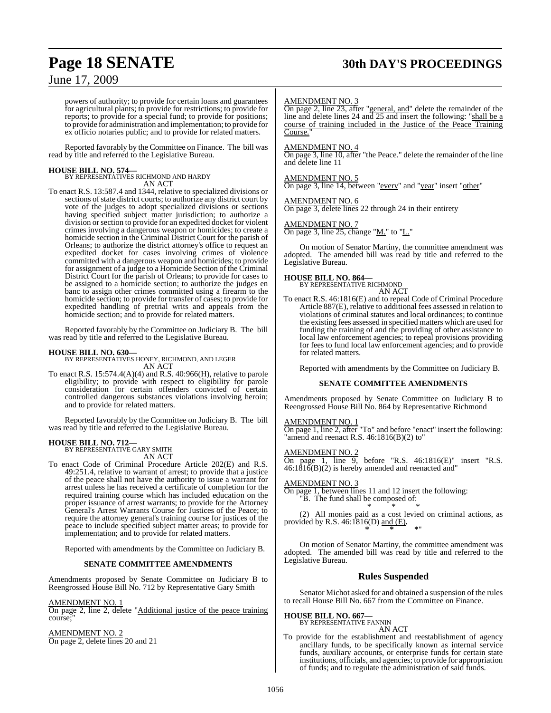## **Page 18 SENATE 30th DAY'S PROCEEDINGS**

### June 17, 2009

powers of authority; to provide for certain loans and guarantees for agricultural plants; to provide for restrictions; to provide for reports; to provide for a special fund; to provide for positions; to provide for administration and implementation; to provide for ex officio notaries public; and to provide for related matters.

Reported favorably by the Committee on Finance. The bill was read by title and referred to the Legislative Bureau.

**HOUSE BILL NO. 574—** BY REPRESENTATIVES RICHMOND AND HARDY AN ACT

To enact R.S. 13:587.4 and 1344, relative to specialized divisions or sections of state district courts; to authorize any district court by vote of the judges to adopt specialized divisions or sections having specified subject matter jurisdiction; to authorize a division orsection to provide for an expedited docket for violent crimes involving a dangerous weapon or homicides; to create a homicide section in the Criminal District Court for the parish of Orleans; to authorize the district attorney's office to request an expedited docket for cases involving crimes of violence committed with a dangerous weapon and homicides; to provide for assignment of a judge to a Homicide Section of the Criminal District Court for the parish of Orleans; to provide for cases to be assigned to a homicide section; to authorize the judges en banc to assign other crimes committed using a firearm to the homicide section; to provide for transfer of cases; to provide for expedited handling of pretrial writs and appeals from the homicide section; and to provide for related matters.

Reported favorably by the Committee on Judiciary B. The bill was read by title and referred to the Legislative Bureau.

**HOUSE BILL NO. 630—** BY REPRESENTATIVES HONEY, RICHMOND, AND LEGER AN ACT

To enact R.S. 15:574.4(A)(4) and R.S. 40:966(H), relative to parole eligibility; to provide with respect to eligibility for parole consideration for certain offenders convicted of certain controlled dangerous substances violations involving heroin; and to provide for related matters.

Reported favorably by the Committee on Judiciary B. The bill was read by title and referred to the Legislative Bureau.

## **HOUSE BILL NO. 712—** BY REPRESENTATIVE GARY SMITH

AN ACT

To enact Code of Criminal Procedure Article 202(E) and R.S. 49:251.4, relative to warrant of arrest; to provide that a justice of the peace shall not have the authority to issue a warrant for arrest unless he has received a certificate of completion for the required training course which has included education on the proper issuance of arrest warrants; to provide for the Attorney General's Arrest Warrants Course for Justices of the Peace; to require the attorney general's training course for justices of the peace to include specified subject matter areas; to provide for implementation; and to provide for related matters.

Reported with amendments by the Committee on Judiciary B.

### **SENATE COMMITTEE AMENDMENTS**

Amendments proposed by Senate Committee on Judiciary B to Reengrossed House Bill No. 712 by Representative Gary Smith

### AMENDMENT NO. 1

On page 2, line 2, delete "Additional justice of the peace training course;

### AMENDMENT NO. 2

On page 2, delete lines 20 and 21

### AMENDMENT NO. 3

On page 2, line 23, after "general, and" delete the remainder of the line and delete lines 24 and 25 and insert the following: "shall be a course of training included in the Justice of the Peace Training Course.

### AMENDMENT NO. 4

On page 3, line 10, after "the Peace." delete the remainder of the line and delete line 11

### AMENDMENT NO. 5

On page 3, line 14, between "every" and "year" insert "other"

### AMENDMENT NO. 6

On page 3, delete lines 22 through 24 in their entirety

### AMENDMENT NO. 7

On page 3, line 25, change "M." to "L."

On motion of Senator Martiny, the committee amendment was adopted. The amended bill was read by title and referred to the Legislative Bureau.

### **HOUSE BILL NO. 864—** BY REPRESENTATIVE RICHMOND

AN ACT

To enact R.S. 46:1816(E) and to repeal Code of Criminal Procedure Article 887(E), relative to additional fees assessed in relation to violations of criminal statutes and local ordinances; to continue the existing fees assessed in specified matters which are used for funding the training of and the providing of other assistance to local law enforcement agencies; to repeal provisions providing for fees to fund local law enforcement agencies; and to provide for related matters.

Reported with amendments by the Committee on Judiciary B.

### **SENATE COMMITTEE AMENDMENTS**

Amendments proposed by Senate Committee on Judiciary B to Reengrossed House Bill No. 864 by Representative Richmond

### **MENDMENT NO. 1**

On page 1, line 2, after "To" and before "enact" insert the following: "amend and reenact R.S. 46:1816(B)(2) to"

### AMENDMENT NO. 2

On page 1, line  $9$ , before "R.S.  $46:1816(E)$ " insert "R.S.  $46:1816(B)(2)$  is hereby amended and reenacted and"

AMENDMENT NO. 3 On page 1, between lines 11 and 12 insert the following: "B. The fund shall be composed of: \* \* \*

(2) All monies paid as a cost levied on criminal actions, as provided by R.S. 46:1816(D) and (E)**. \* \* \***"

On motion of Senator Martiny, the committee amendment was adopted. The amended bill was read by title and referred to the Legislative Bureau.

### **Rules Suspended**

Senator Michot asked for and obtained a suspension of the rules to recall House Bill No. 667 from the Committee on Finance.

#### **HOUSE BILL NO. 667—** BY REPRESENTATIVE FANNIN

AN ACT

To provide for the establishment and reestablishment of agency ancillary funds, to be specifically known as internal service funds, auxiliary accounts, or enterprise funds for certain state institutions, officials, and agencies; to provide for appropriation of funds; and to regulate the administration of said funds.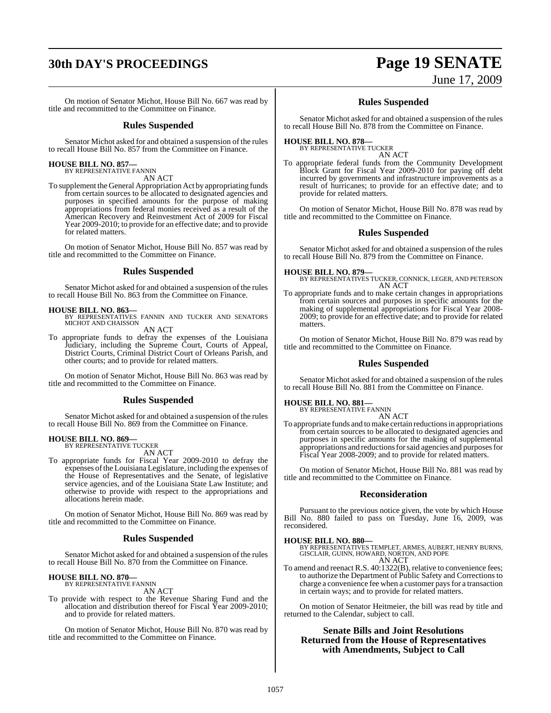## **30th DAY'S PROCEEDINGS Page 19 SENATE** June 17, 2009

On motion of Senator Michot, House Bill No. 667 was read by title and recommitted to the Committee on Finance.

### **Rules Suspended**

Senator Michot asked for and obtained a suspension of the rules to recall House Bill No. 857 from the Committee on Finance.

## **HOUSE BILL NO. 857—** BY REPRESENTATIVE FANNIN

AN ACT

To supplement the General Appropriation Act by appropriating funds from certain sources to be allocated to designated agencies and purposes in specified amounts for the purpose of making appropriations from federal monies received as a result of the American Recovery and Reinvestment Act of 2009 for Fiscal Year 2009-2010; to provide for an effective date; and to provide for related matters.

On motion of Senator Michot, House Bill No. 857 was read by title and recommitted to the Committee on Finance.

### **Rules Suspended**

Senator Michot asked for and obtained a suspension of the rules to recall House Bill No. 863 from the Committee on Finance.

### **HOUSE BILL NO. 863—**

BY REPRESENTATIVES FANNIN AND TUCKER AND SENATORS MICHOT AND CHAISSON

AN ACT

To appropriate funds to defray the expenses of the Louisiana Judiciary, including the Supreme Court, Courts of Appeal, District Courts, Criminal District Court of Orleans Parish, and other courts; and to provide for related matters.

On motion of Senator Michot, House Bill No. 863 was read by title and recommitted to the Committee on Finance.

### **Rules Suspended**

Senator Michot asked for and obtained a suspension of the rules to recall House Bill No. 869 from the Committee on Finance.

#### **HOUSE BILL NO. 869—** BY REPRESENTATIVE TUCKER

AN ACT

To appropriate funds for Fiscal Year 2009-2010 to defray the expenses ofthe Louisiana Legislature, including the expenses of the House of Representatives and the Senate, of legislative service agencies, and of the Louisiana State Law Institute; and otherwise to provide with respect to the appropriations and allocations herein made.

On motion of Senator Michot, House Bill No. 869 was read by title and recommitted to the Committee on Finance.

### **Rules Suspended**

Senator Michot asked for and obtained a suspension of the rules to recall House Bill No. 870 from the Committee on Finance.

#### **HOUSE BILL NO. 870—** BY REPRESENTATIVE FANNIN

AN ACT

To provide with respect to the Revenue Sharing Fund and the allocation and distribution thereof for Fiscal Year 2009-2010; and to provide for related matters.

On motion of Senator Michot, House Bill No. 870 was read by title and recommitted to the Committee on Finance.

### **Rules Suspended**

Senator Michot asked for and obtained a suspension of the rules to recall House Bill No. 878 from the Committee on Finance.

### **HOUSE BILL NO. 878—** BY REPRESENTATIVE TUCKER

AN ACT

To appropriate federal funds from the Community Development Block Grant for Fiscal Year 2009-2010 for paying off debt incurred by governments and infrastructure improvements as a result of hurricanes; to provide for an effective date; and to provide for related matters.

On motion of Senator Michot, House Bill No. 878 was read by title and recommitted to the Committee on Finance.

### **Rules Suspended**

Senator Michot asked for and obtained a suspension of the rules to recall House Bill No. 879 from the Committee on Finance.

**HOUSE BILL NO. 879—** BY REPRESENTATIVES TUCKER, CONNICK, LEGER, AND PETERSON AN ACT

To appropriate funds and to make certain changes in appropriations from certain sources and purposes in specific amounts for the making of supplemental appropriations for Fiscal Year 2008- 2009; to provide for an effective date; and to provide for related matters.

On motion of Senator Michot, House Bill No. 879 was read by title and recommitted to the Committee on Finance.

### **Rules Suspended**

Senator Michot asked for and obtained a suspension of the rules to recall House Bill No. 881 from the Committee on Finance.

**HOUSE BILL NO. 881—** BY REPRESENTATIVE FANNIN

### AN ACT

To appropriate funds and to make certain reductions in appropriations from certain sources to be allocated to designated agencies and purposes in specific amounts for the making of supplemental appropriations and reductions for said agencies and purposes for Fiscal Year 2008-2009; and to provide for related matters.

On motion of Senator Michot, House Bill No. 881 was read by title and recommitted to the Committee on Finance.

### **Reconsideration**

Pursuant to the previous notice given, the vote by which House Bill No. 880 failed to pass on Tuesday, June 16, 2009, was reconsidered.

**HOUSE BILL NO. 880—** BY REPRESENTATIVES TEMPLET, ARMES, AUBERT, HENRY BURNS, GISCLAIR, GUINN, HOWARD, NORTON, AND POPE AN ACT

To amend and reenact R.S. 40:1322(B), relative to convenience fees; to authorize the Department of Public Safety and Corrections to charge a convenience fee when a customer paysfor a transaction in certain ways; and to provide for related matters.

On motion of Senator Heitmeier, the bill was read by title and returned to the Calendar, subject to call.

### **Senate Bills and Joint Resolutions Returned from the House of Representatives with Amendments, Subject to Call**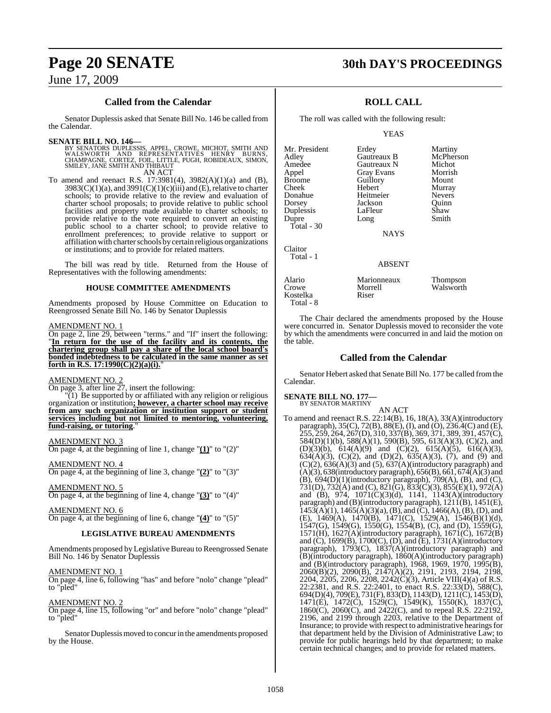### **Called from the Calendar**

Senator Duplessis asked that Senate Bill No. 146 be called from the Calendar.

### **SENATE BILL NO. 146—**

BY SENATORS DUPLESSIS, APPEL, CROWE, MICHOT, SMITH AND<br>WALSWORTH AND REPRESENTATIVES HENRY BURNS,<br>CHAMPAGNE, CORTEZ, FOIL, LITTLE, PUGH, ROBIDEAUX, SIMON,<br>SMILEY, JANE SMITHAND THIBAUT AN ACT

To amend and reenact R.S. 17:3981(4), 3982(A)(1)(a) and (B),  $3983(C)(1)(a)$ , and  $3991(C)(1)(c)(iii)$  and  $(E)$ , relative to charter schools; to provide relative to the review and evaluation of charter school proposals; to provide relative to public school facilities and property made available to charter schools; to provide relative to the vote required to convert an existing public school to a charter school; to provide relative to enrollment preferences; to provide relative to support or affiliation with charter schools by certain religious organizations or institutions; and to provide for related matters.

The bill was read by title. Returned from the House of Representatives with the following amendments:

### **HOUSE COMMITTEE AMENDMENTS**

Amendments proposed by House Committee on Education to Reengrossed Senate Bill No. 146 by Senator Duplessis

### AMENDMENT NO. 1

On page 2, line 29, between "terms." and "If" insert the following: "**In return for the use of the facility and its contents, the chartering group shall pay a share of the local school board's bonded indebtedness to be calculated in the same manner as set forth in R.S. 17:1990(C)(2)(a)(i).** 

### AMENDMENT NO. 2

On page 3, after line 27, insert the following:

"(1) Be supported by or affiliated with any religion or religious organization or institution**; however, a charter school may receive from any such organization or institution support or student services including but not limited to mentoring, volunteering, fund-raising, or tutoring**."

### AMENDMENT NO. 3

On page 4, at the beginning of line 1, change "**(1)**" to "(2)"

AMENDMENT NO. 4 On page 4, at the beginning of line 3, change "**(2)**" to "(3)"

AMENDMENT NO. 5 On page 4, at the beginning of line 4, change "**(3)**" to "(4)"

AMENDMENT NO. 6

On page 4, at the beginning of line 6, change "**(4)**" to "(5)"

### **LEGISLATIVE BUREAU AMENDMENTS**

Amendments proposed by Legislative Bureau to Reengrossed Senate Bill No. 146 by Senator Duplessis

### AMENDMENT NO. 1

On page 4, line 6, following "has" and before "nolo" change "plead" to "pled"

### AMENDMENT NO. 2

On page 4, line 15, following "or" and before "nolo" change "plead" to "pled"

Senator Duplessis moved to concur in the amendments proposed by the House.

### **Page 20 SENATE 30th DAY'S PROCEEDINGS**

### **ROLL CALL**

The roll was called with the following result:

YEAS

| Mr. President<br>Adley<br>Amedee<br>Appel<br><b>Broome</b><br>Cheek<br>Donahue<br>Dorsey<br>Duplessis<br>Dupre | Erdey<br>Gautreaux B<br>Gautreaux N<br><b>Gray Evans</b><br>Guillory<br>Hebert<br>Heitmeier<br>Jackson<br>LaFleur<br>Long | Martiny<br>McPherson<br>Michot<br>Morrish<br>Mount<br>Murray<br><b>Nevers</b><br>Ouinn<br>Shaw<br>Smith |
|----------------------------------------------------------------------------------------------------------------|---------------------------------------------------------------------------------------------------------------------------|---------------------------------------------------------------------------------------------------------|
| Total - 30                                                                                                     | <b>NAYS</b>                                                                                                               |                                                                                                         |
| Claitor<br>Total - 1                                                                                           | ABSENT                                                                                                                    |                                                                                                         |

### ABSENT

| Alario                | Marionneaux | Thompson  |
|-----------------------|-------------|-----------|
| Crowe                 | Morrell     | Walsworth |
| Kostelka<br>Total - 8 | Riser       |           |

The Chair declared the amendments proposed by the House were concurred in. Senator Duplessis moved to reconsider the vote by which the amendments were concurred in and laid the motion on the table.

### **Called from the Calendar**

Senator Hebert asked that Senate Bill No. 177 be called fromthe Calendar.

### **SENATE BILL NO. 177—**

BY SENATOR MARTINY

AN ACT To amend and reenact R.S. 22:14(B), 16, 18(A), 33(A)(introductory paragraph), 35(C), 72(B), 88(E), (I), and (O), 236.4(C) and (E), 255, 259, 264, 267(D), 310, 337(B), 369, 371, 389, 391, 457(C), 584(D)(1)(b), 588(A)(1), 590(B), 595, 613(A)(3), (C)(2), and  $(D)(3)(b)$ ,  $614(A)(9)$  and  $(C)(2)$ ,  $615(A)(5)$ ,  $616(A)(3)$ , 634(A)(3), (C)(2), and (D)(2),  $635(A)(3)$ , (7), and (9) and  $(C)(2)$ ,  $636(A)(3)$  and  $(5)$ ,  $637(A)$ (introductory paragraph) and  $(A)(3)$ , 638(introductory paragraph), 656(B), 661, 674(A)(3) and  $(B)$ , 694 $(D)(1)$ (introductory paragraph), 709 $(A)$ ,  $(B)$ , and  $(C)$ , 731(D), 732(A) and (C), 821(G), 833(C)(3), 855(E)(1), 972(A) and (B), 974, 1071(C)(3)(d), 1141, 1143(A)(introductory paragraph) and (B)(introductory paragraph), 1211(B), 1451(E),  $1453(A)(1)$ ,  $1465(A)(3)(a)$ ,  $(B)$ , and  $(C)$ ,  $1466(A)$ ,  $(B)$ ,  $(D)$ , and (E), 1469(A), 1470(B), 1471(C), 1529(A), 1546(B)(1)(d), 1547(G), 1549(G), 1550(G), 1554(B), (C), and (D), 1559(G), 1571(H), 1627(A)(introductory paragraph), 1671(C), 1672(B) and (C), 1699(B), 1700(C), (D), and (E), 1731(A)(introductory paragraph), 1793(C), 1837(A)(introductory paragraph) and (B)(introductory paragraph), 1860(A)(introductory paragraph) and (B)(introductory paragraph), 1968, 1969, 1970, 1995(B), 2060(B)(2), 2090(B), 2147(A)(2), 2191, 2193, 2194, 2198, 2204, 2205, 2206, 2208, 2242(C)(3), Article VIII(4)(a) of R.S. 22:2381, and R.S. 22:2401, to enact R.S. 22:33(D), 588(C), 694(D)(4), 709(E), 731(F), 833(D), 1143(D), 1211(C), 1453(D), 1471(E), 1472(C), 1529(C), 1549(K), 1550(K), 1837(C), 1860(C), 2060(C), and 2422(C), and to repeal R.S. 22:2192, 2196, and 2199 through 2203, relative to the Department of Insurance; to provide with respect to administrative hearings for that department held by the Division of Administrative Law; to provide for public hearings held by that department; to make certain technical changes; and to provide for related matters.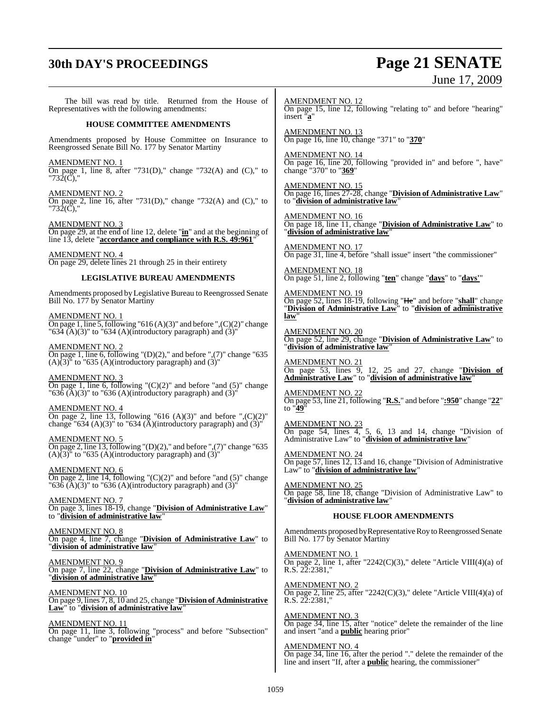## **30th DAY'S PROCEEDINGS Page 21 SENATE**

# June 17, 2009

The bill was read by title. Returned from the House of Representatives with the following amendments:

### **HOUSE COMMITTEE AMENDMENTS**

Amendments proposed by House Committee on Insurance to Reengrossed Senate Bill No. 177 by Senator Martiny

AMENDMENT NO. 1 On page 1, line 8, after "731(D)," change "732(A) and (C)," to "732(C),"

AMENDMENT NO. 2 On page 2, line 16, after "731(D)," change "732(A) and (C)," to "732(C),"

AMENDMENT NO. 3 On page 29, at the end of line 12, delete "**in**" and at the beginning of line 13, delete "accordance and compliance with R.S. 49:961"

AMENDMENT NO. 4

On page 29, delete lines 21 through 25 in their entirety

### **LEGISLATIVE BUREAU AMENDMENTS**

Amendments proposed by Legislative Bureau to Reengrossed Senate Bill No. 177 by Senator Martiny

AMENDMENT NO. 1

On page 1, line 5, following "616 (A)(3)" and before ",(C)(2)" change "634 (A)(3)" to "634 (A)(introductory paragraph) and  $(3)$ "

AMENDMENT NO. 2 On page 1, line 6, following "(D)(2)," and before ",(7)" change "635  $(A)(3)$ " to "635 (A)(introductory paragraph) and  $(3)$ "

AMENDMENT NO. 3 On page 1, line 6, following "(C)(2)" and before "and (5)" change " $63\delta$  (A)(3)" to " $636$  (A)(introductory paragraph) and (3)"

AMENDMENT NO. 4 On page 2, line 13, following "616  $(A)(3)$ " and before ", $(C)(2)$ " change "634 (A)(3)" to "634 ( $\bar{A}$ )(introductory paragraph) and (3)"

AMENDMENT NO. 5 On page 2, line 13, following "(D)(2)," and before ",(7)" change "635  $(A)(3)$ <sup>"</sup> to "635  $(A)(introducing paragram)$  and  $(3)$ "

AMENDMENT NO. 6 On page 2, line 14, following "(C)(2)" and before "and (5)" change "636 (A)(3)" to "636 (A)(introductory paragraph) and (3)'

AMENDMENT NO. 7 On page 3, lines 18-19, change "**Division of Administrative Law**" to "**division of administrative law**"

AMENDMENT NO. 8 On page 4, line 7, change "**Division of Administrative Law**" to "**division of administrative law**"

AMENDMENT NO. 9 On page 7, line 22, change "**Division of Administrative Law**" to "**division of administrative law**"

AMENDMENT NO. 10 On page 9, lines 7, 8, 10 and 25, change "**Division of Administrative Law**" to "**division of administrative law**"

AMENDMENT NO. 11 On page 11, line 3, following "process" and before "Subsection" change "under" to "**provided in**"

AMENDMENT NO. 12 On page 15, line 12, following "relating to" and before "hearing" insert "**a**"

AMENDMENT NO. 13 On page 16, line 10, change "371" to "**370**"

AMENDMENT NO. 14 On page 16, line 20, following "provided in" and before ", have" change "370" to "**369**"

AMENDMENT NO. 15 On page 16, lines 27-28, change "**Division of Administrative Law**" to "**division of administrative law**"

AMENDMENT NO. 16 On page 18, line 11, change "**Division of Administrative Law**" to "**division of administrative law**"

AMENDMENT NO. 17 On page 31, line 4, before "shall issue" insert "the commissioner"

AMENDMENT NO. 18 On page 51, line 2, following "**ten**" change "**days**" to "**days'**"

AMENDMENT NO. 19 On page 52, lines 18-19, following "He" and before "**shall**" change "**Division of Administrative Law**" to "**division of administrative law**"

AMENDMENT NO. 20 On page 52, line 29, change "**Division of Administrative Law**" to "**division of administrative law**"

AMENDMENT NO. 21 On page 53, lines 9, 12, 25 and 27, change "**Division of Administrative Law**" to "**division of administrative law**"

AMENDMENT NO. 22 On page 53, line 21, following "**R.S.**" and before "**:950**" change "**22**" to "**49**"

AMENDMENT NO. 23 On page 54, lines 4, 5, 6, 13 and 14, change "Division of Administrative Law" to "**division of administrative law**"

AMENDMENT NO. 24 On page 57, lines 12, 13 and 16, change "Division of Administrative Law" to "**division of administrative law**"

AMENDMENT NO. 25 On page 58, line 18, change "Division of Administrative Law" to "**division of administrative law**"

### **HOUSE FLOOR AMENDMENTS**

Amendments proposed by Representative Roy to Reengrossed Senate Bill No. 177 by Senator Martiny

AMENDMENT NO. 1 On page 2, line 1, after "2242(C)(3)," delete "Article VIII(4)(a) of R.S. 22:2381,"

AMENDMENT NO. 2 On page 2, line 25, after "2242(C)(3)," delete "Article VIII(4)(a) of R.S. 22:2381,"

AMENDMENT NO. 3 On page 34, line 15, after "notice" delete the remainder of the line and insert "and a **public** hearing prior"

AMENDMENT NO. 4 On page 34, line 16, after the period "." delete the remainder of the line and insert "If, after a **public** hearing, the commissioner"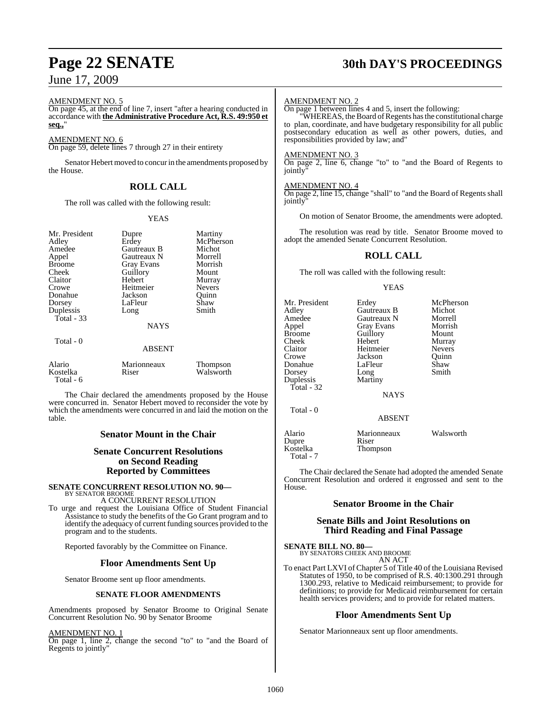### AMENDMENT NO. 5

On page 45, at the end of line 7, insert "after a hearing conducted in accordance with **the Administrative Procedure Act, R.S. 49:950 et seq.,**"

### AMENDMENT NO. 6

On page 59, delete lines 7 through 27 in their entirety

Senator Hebert moved to concurin the amendments proposed by the House.

### **ROLL CALL**

The roll was called with the following result:

### YEAS

| Mr. President<br>Adley<br>Amedee<br>Appel<br><b>Broome</b><br>Cheek<br>Claitor<br>Crowe<br>Donahue<br>Dorsey<br>Duplessis<br>Total $-33$<br>Total - 0 | Dupre<br>Erdey<br>Gautreaux B<br>Gautreaux N<br>Gray Evans<br>Guillory<br>Hebert<br>Heitmeier<br>Jackson<br>LaFleur<br>Long<br><b>NAYS</b> | Martiny<br>McPherson<br>Michot<br>Morrell<br>Morrish<br>Mount<br>Murray<br><b>Nevers</b><br>Ouinn<br>Shaw<br>Smith |
|-------------------------------------------------------------------------------------------------------------------------------------------------------|--------------------------------------------------------------------------------------------------------------------------------------------|--------------------------------------------------------------------------------------------------------------------|
|                                                                                                                                                       | <b>ABSENT</b>                                                                                                                              |                                                                                                                    |
| Alario<br>Kostelka<br>Total - 6                                                                                                                       | Marionneaux<br>Riser                                                                                                                       | Thompson<br>Walsworth                                                                                              |

The Chair declared the amendments proposed by the House were concurred in. Senator Hebert moved to reconsider the vote by which the amendments were concurred in and laid the motion on the table.

### **Senator Mount in the Chair**

### **Senate Concurrent Resolutions on Second Reading Reported by Committees**

### **SENATE CONCURRENT RESOLUTION NO. 90—** BY SENATOR BROOME

A CONCURRENT RESOLUTION

To urge and request the Louisiana Office of Student Financial Assistance to study the benefits of the Go Grant program and to identify the adequacy of current funding sources provided to the program and to the students.

Reported favorably by the Committee on Finance.

### **Floor Amendments Sent Up**

Senator Broome sent up floor amendments.

### **SENATE FLOOR AMENDMENTS**

Amendments proposed by Senator Broome to Original Senate Concurrent Resolution No. 90 by Senator Broome

### AMENDMENT NO. 1

On page 1, line 2, change the second "to" to "and the Board of Regents to jointly"

## **Page 22 SENATE 30th DAY'S PROCEEDINGS**

### AMENDMENT NO. 2

On page 1 between lines 4 and 5, insert the following:

"WHEREAS, the Board of Regents has the constitutional charge to plan, coordinate, and have budgetary responsibility for all public postsecondary education as well as other powers, duties, and responsibilities provided by law; and"

### AMENDMENT NO. 3

On page 2, line 6, change "to" to "and the Board of Regents to jointly

### AMENDMENT NO. 4

On page 2, line 15, change "shall" to "and the Board of Regents shall jointly

On motion of Senator Broome, the amendments were adopted.

The resolution was read by title. Senator Broome moved to adopt the amended Senate Concurrent Resolution.

### **ROLL CALL**

The roll was called with the following result:

### YEAS

| Mr. President<br>Adlev<br>Amedee<br>Appel<br>Broome<br>Cheek<br>Claitor<br>Crowe<br>Donahue<br>Dorsey<br>Duplessis<br>Total - 32 | Erdey<br>Gautreaux B<br>Gautreaux N<br><b>Gray Evans</b><br>Guillory<br>Hebert<br>Heitmeier<br>Jackson<br>LaFleur<br>Long<br>Martiny<br>NAYS | McPherson<br>Michot<br>Morrell<br>Morrish<br>Mount<br>Murray<br><b>Nevers</b><br>Quinn<br>Shaw<br>Smith |
|----------------------------------------------------------------------------------------------------------------------------------|----------------------------------------------------------------------------------------------------------------------------------------------|---------------------------------------------------------------------------------------------------------|
| Total - 0                                                                                                                        | <b>ABSENT</b>                                                                                                                                |                                                                                                         |
| Alario<br>Dupre<br>Kostelka<br>Total - 7                                                                                         | Marionneaux<br>Riser<br>Thompson                                                                                                             | Walsworth                                                                                               |

The Chair declared the Senate had adopted the amended Senate Concurrent Resolution and ordered it engrossed and sent to the House.

### **Senator Broome in the Chair**

### **Senate Bills and Joint Resolutions on Third Reading and Final Passage**

### **SENATE BILL NO. 80—** BY SENATORS CHEEK AND BROOME

AN ACT

To enact Part LXVI of Chapter 5 of Title 40 of the Louisiana Revised Statutes of 1950, to be comprised of R.S. 40:1300.291 through 1300.293, relative to Medicaid reimbursement; to provide for definitions; to provide for Medicaid reimbursement for certain health services providers; and to provide for related matters.

### **Floor Amendments Sent Up**

Senator Marionneaux sent up floor amendments.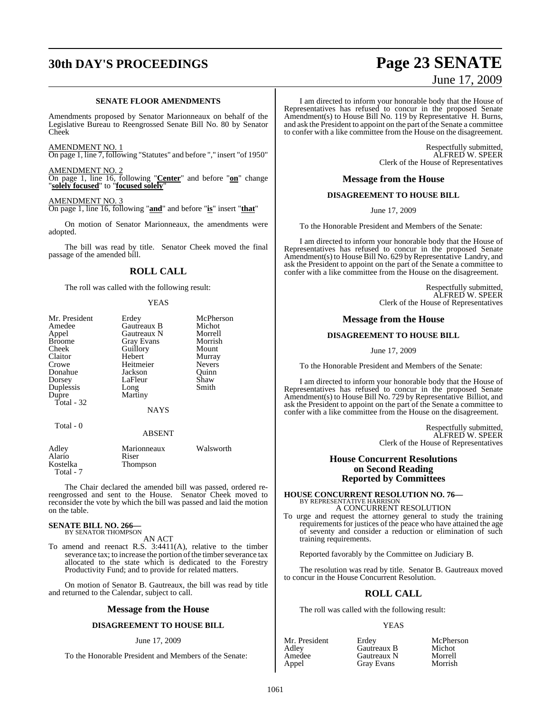## **30th DAY'S PROCEEDINGS Page 23 SENATE**

### **SENATE FLOOR AMENDMENTS**

Amendments proposed by Senator Marionneaux on behalf of the Legislative Bureau to Reengrossed Senate Bill No. 80 by Senator Cheek

AMENDMENT NO. 1 On page 1, line 7, following "Statutes" and before "," insert "of 1950"

AMENDMENT NO. 2 On page 1, line 16, following "**Center**" and before "**on**" change "**solely focused**" to "**focused solely**"

AMENDMENT NO. 3

On page 1, line 16, following "**and**" and before "**is**" insert "**that**"

On motion of Senator Marionneaux, the amendments were adopted.

The bill was read by title. Senator Cheek moved the final passage of the amended bill.

### **ROLL CALL**

The roll was called with the following result:

### YEAS

| Mr. President | Erdey         | McPherson |
|---------------|---------------|-----------|
| Amedee        | Gautreaux B   | Michot    |
| Appel         | Gautreaux N   | Morrell   |
| <b>Broome</b> | Gray Evans    | Morrish   |
| Cheek         | Guillory      | Mount     |
| Claitor       | Hebert        | Murray    |
| Crowe         | Heitmeier     | Nevers    |
| Donahue       | Jackson       | Ouinn     |
| Dorsey        | LaFleur       | Shaw      |
| Duplessis     | Long          | Smith     |
| Dupre         | Martiny       |           |
| Total $-32$   |               |           |
|               | <b>NAYS</b>   |           |
| Total - 0     |               |           |
|               | <b>ABSENT</b> |           |
| Adley         | Marionneaux   | Walsworth |
| Alario        | Riser         |           |
| Kostelka      | Thompson      |           |

The Chair declared the amended bill was passed, ordered rereengrossed and sent to the House. Senator Cheek moved to reconsider the vote by which the bill was passed and laid the motion on the table.

### **SENATE BILL NO. 266—**<br>BY SENATOR THOMPSON

Total - 7

### AN ACT

To amend and reenact R.S. 3:4411(A), relative to the timber severance tax; to increase the portion of the timber severance tax allocated to the state which is dedicated to the Forestry Productivity Fund; and to provide for related matters.

On motion of Senator B. Gautreaux, the bill was read by title and returned to the Calendar, subject to call.

### **Message from the House**

### **DISAGREEMENT TO HOUSE BILL**

### June 17, 2009

To the Honorable President and Members of the Senate:

# June 17, 2009

I am directed to inform your honorable body that the House of Representatives has refused to concur in the proposed Senate Amendment(s) to House Bill No. 119 by Representative H. Burns, and ask the President to appoint on the part of the Senate a committee to confer with a like committee from the House on the disagreement.

> Respectfully submitted, ALFRED W. SPEER Clerk of the House of Representatives

### **Message from the House**

### **DISAGREEMENT TO HOUSE BILL**

June 17, 2009

To the Honorable President and Members of the Senate:

I am directed to inform your honorable body that the House of Representatives has refused to concur in the proposed Senate Amendment(s) to House Bill No. 629 by Representative Landry, and ask the President to appoint on the part of the Senate a committee to confer with a like committee from the House on the disagreement.

> Respectfully submitted, ALFRED W. SPEER Clerk of the House of Representatives

### **Message from the House**

### **DISAGREEMENT TO HOUSE BILL**

June 17, 2009

To the Honorable President and Members of the Senate:

I am directed to inform your honorable body that the House of Representatives has refused to concur in the proposed Senate Amendment(s) to House Bill No. 729 by Representative Billiot, and ask the President to appoint on the part of the Senate a committee to confer with a like committee from the House on the disagreement.

> Respectfully submitted, ALFRED W. SPEER Clerk of the House of Representatives

### **House Concurrent Resolutions on Second Reading Reported by Committees**

**HOUSE CONCURRENT RESOLUTION NO. 76—** BY REPRESENTATIVE HARRISON A CONCURRENT RESOLUTION

To urge and request the attorney general to study the training requirements for justices of the peace who have attained the age of seventy and consider a reduction or elimination of such training requirements.

Reported favorably by the Committee on Judiciary B.

The resolution was read by title. Senator B. Gautreaux moved to concur in the House Concurrent Resolution.

### **ROLL CALL**

The roll was called with the following result:

### YEAS

Solent Erdey McPherson<br>
Gautreaux B Michot **Gautreaux B** Michot<br> **Gautreaux N** Morrell **Gautreaux N** Morrell<br> **Grav Evans Morrish** Gray Evans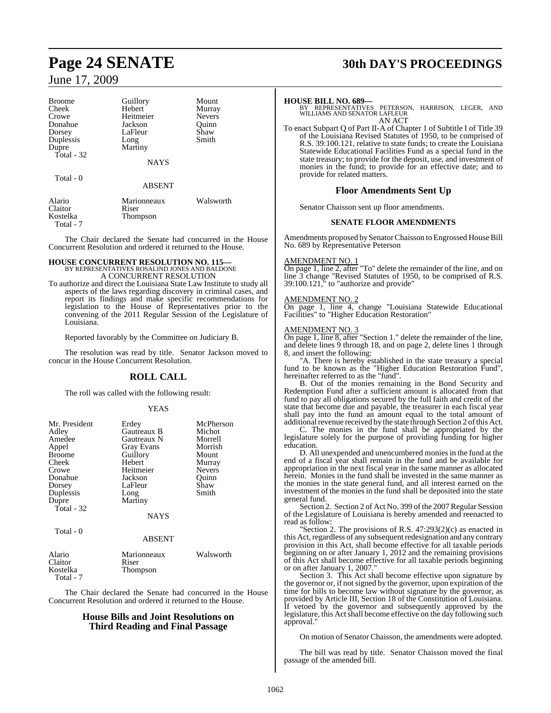| <b>Broome</b> | Guillory      | Mount     |
|---------------|---------------|-----------|
| Cheek         | Hebert        | Murray    |
| Crowe         | Heitmeier     | Nevers    |
| Donahue       | Jackson       | Ouinn     |
| Dorsey        | LaFleur       | Shaw      |
| Duplessis     | Long          | Smith     |
| Dupre         | Martiny       |           |
| Total - 32    |               |           |
|               | <b>NAYS</b>   |           |
| Total - 0     |               |           |
|               | <b>ABSENT</b> |           |
| Alario        | Marionneaux   | Walsworth |
| Claitor       | Riser         |           |
| Kostelka      | Thompson      |           |
| Total - 7     |               |           |

The Chair declared the Senate had concurred in the House Concurrent Resolution and ordered it returned to the House.

## **HOUSE CONCURRENT RESOLUTION NO. 115—**

BY REPRESENTATIVES ROSALIND JONES AND BALDONE A CONCURRENT RESOLUTION

To authorize and direct the Louisiana State Law Institute to study all aspects of the laws regarding discovery in criminal cases, and report its findings and make specific recommendations for legislation to the House of Representatives prior to the convening of the 2011 Regular Session of the Legislature of Louisiana.

Reported favorably by the Committee on Judiciary B.

The resolution was read by title. Senator Jackson moved to concur in the House Concurrent Resolution.

### **ROLL CALL**

The roll was called with the following result:

#### YEAS

| Mr. President<br>Adley<br>Amedee<br>Appel<br><b>Broome</b><br>Cheek<br>Crowe<br>Donahue<br>Dorsey<br>Duplessis<br>Dupre<br>Total - 32 | Erdey<br>Gautreaux B<br>Gautreaux N<br>Gray Evans<br>Guillory<br>Hebert<br>Heitmeier<br>Jackson<br>LaFleur<br>Long<br>Martiny | McPherson<br>Michot<br>Morrell<br>Morrish<br>Mount<br>Murray<br><b>Nevers</b><br>Ouinn<br>Shaw<br>Smith |
|---------------------------------------------------------------------------------------------------------------------------------------|-------------------------------------------------------------------------------------------------------------------------------|---------------------------------------------------------------------------------------------------------|
|                                                                                                                                       | <b>NAYS</b>                                                                                                                   |                                                                                                         |
| Total - 0                                                                                                                             | $\lambda$ DCD $\lambda$ IT                                                                                                    |                                                                                                         |

#### ABSENT

| Alario<br><b>Claitor</b> | Marionneaux<br>Riser | Walsworth |
|--------------------------|----------------------|-----------|
| Kostelka<br>Total - 7    | Thompson             |           |

The Chair declared the Senate had concurred in the House Concurrent Resolution and ordered it returned to the House.

### **House Bills and Joint Resolutions on Third Reading and Final Passage**

## **Page 24 SENATE 30th DAY'S PROCEEDINGS**

**HOUSE BILL NO. 689—** BY REPRESENTATIVES PETERSON, HARRISON, LEGER, AND WILLIAMS AND SENATOR LAFLEUR AN ACT

To enact Subpart Q of Part II-A of Chapter 1 of Subtitle I of Title 39 of the Louisiana Revised Statutes of 1950, to be comprised of R.S. 39:100.121, relative to state funds; to create the Louisiana Statewide Educational Facilities Fund as a special fund in the state treasury; to provide for the deposit, use, and investment of monies in the fund; to provide for an effective date; and to provide for related matters.

### **Floor Amendments Sent Up**

Senator Chaisson sent up floor amendments.

#### **SENATE FLOOR AMENDMENTS**

Amendments proposed by Senator Chaisson to Engrossed House Bill No. 689 by Representative Peterson

### AMENDMENT NO. 1

On page 1, line 2, after "To" delete the remainder of the line, and on line 3 change "Revised Statutes of 1950, to be comprised of R.S. 39:100.121," to "authorize and provide"

### AMENDMENT NO. 2

On page 1, line 4, change "Louisiana Statewide Educational Facilities" to "Higher Education Restoration"

### AMENDMENT NO. 3

On page 1, line 8, after "Section 1." delete the remainder of the line, and delete lines 9 through 18, and on page 2, delete lines 1 through 8, and insert the following:

"A. There is hereby established in the state treasury a special fund to be known as the "Higher Education Restoration Fund", hereinafter referred to as the "fund".

B. Out of the monies remaining in the Bond Security and Redemption Fund after a sufficient amount is allocated from that fund to pay all obligations secured by the full faith and credit of the state that become due and payable, the treasurer in each fiscal year shall pay into the fund an amount equal to the total amount of additional revenue received by the state through Section 2 of this Act.

C. The monies in the fund shall be appropriated by the legislature solely for the purpose of providing funding for higher education.

D. All unexpended and unencumbered monies in the fund at the end of a fiscal year shall remain in the fund and be available for appropriation in the next fiscal year in the same manner as allocated herein. Monies in the fund shall be invested in the same manner as the monies in the state general fund, and all interest earned on the investment of the monies in the fund shall be deposited into the state general fund.

Section 2. Section 2 of Act No. 399 of the 2007 Regular Session of the Legislature of Louisiana is hereby amended and reenacted to read as follow:

"Section 2. The provisions of R.S.  $47:293(2)(c)$  as enacted in this Act, regardless of any subsequent redesignation and any contrary provision in this Act, shall become effective for all taxable periods beginning on or after January 1, 2012 and the remaining provisions of this Act shall become effective for all taxable periods beginning or on after January 1, 2007."

Section 3. This Act shall become effective upon signature by the governor or, if notsigned by the governor, upon expiration of the time for bills to become law without signature by the governor, as provided by Article III, Section 18 of the Constitution of Louisiana. If vetoed by the governor and subsequently approved by the legislature, this Act shall become effective on the day following such approval.

On motion of Senator Chaisson, the amendments were adopted.

The bill was read by title. Senator Chaisson moved the final passage of the amended bill.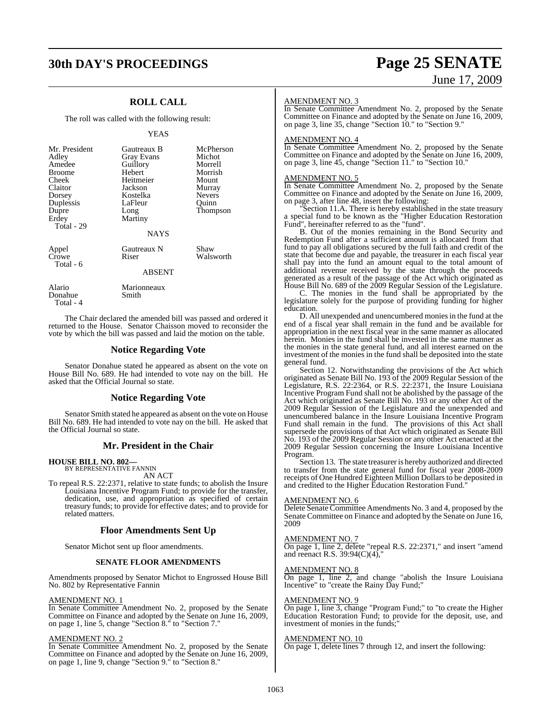## **30th DAY'S PROCEEDINGS Page 25 SENATE**

### **ROLL CALL**

The roll was called with the following result:

### YEAS

| Mr. President<br>Adley<br>Amedee<br><b>Broome</b><br>Cheek<br>Claitor<br>Dorsey<br>Duplessis<br>Dupre<br>Erdey<br>Total - 29 | Gautreaux B<br>Gray Evans<br>Guillory<br>Hebert<br>Heitmeier<br>Jackson<br>Kostelka<br>LaFleur<br>Long<br>Martiny<br><b>NAYS</b> | McPherson<br>Michot<br>Morrell<br>Morrish<br>Mount<br>Murray<br><b>Nevers</b><br>Ouinn<br>Thompson |
|------------------------------------------------------------------------------------------------------------------------------|----------------------------------------------------------------------------------------------------------------------------------|----------------------------------------------------------------------------------------------------|
| Appel<br>Crowe<br>Total - 6                                                                                                  | Gautreaux N<br>Riser                                                                                                             | Shaw<br>Walsworth                                                                                  |
|                                                                                                                              | <b>ABSENT</b>                                                                                                                    |                                                                                                    |
| Alario                                                                                                                       | Marionneaux                                                                                                                      |                                                                                                    |

 Total - 4 The Chair declared the amended bill was passed and ordered it returned to the House. Senator Chaisson moved to reconsider the vote by which the bill was passed and laid the motion on the table.

### **Notice Regarding Vote**

Senator Donahue stated he appeared as absent on the vote on House Bill No. 689. He had intended to vote nay on the bill. He asked that the Official Journal so state.

### **Notice Regarding Vote**

Senator Smith stated he appeared as absent on the vote on House Bill No. 689. He had intended to vote nay on the bill. He asked that the Official Journal so state.

### **Mr. President in the Chair**

### **HOUSE BILL NO. 802—** BY REPRESENTATIVE FANNIN

Donahue Smith

AN ACT

To repeal R.S. 22:2371, relative to state funds; to abolish the Insure Louisiana Incentive Program Fund; to provide for the transfer, dedication, use, and appropriation as specified of certain treasury funds; to provide for effective dates; and to provide for related matters.

### **Floor Amendments Sent Up**

Senator Michot sent up floor amendments.

#### **SENATE FLOOR AMENDMENTS**

Amendments proposed by Senator Michot to Engrossed House Bill No. 802 by Representative Fannin

### AMENDMENT NO. 1

In Senate Committee Amendment No. 2, proposed by the Senate Committee on Finance and adopted by the Senate on June 16, 2009, on page 1, line 5, change "Section 8." to "Section 7."

### AMENDMENT NO. 2

In Senate Committee Amendment No. 2, proposed by the Senate Committee on Finance and adopted by the Senate on June 16, 2009, on page 1, line 9, change "Section 9." to "Section 8."

# June 17, 2009

### AMENDMENT NO. 3

In Senate Committee Amendment No. 2, proposed by the Senate Committee on Finance and adopted by the Senate on June 16, 2009, on page 3, line 35, change "Section 10." to "Section 9."

#### AMENDMENT NO. 4

In Senate Committee Amendment No. 2, proposed by the Senate Committee on Finance and adopted by the Senate on June 16, 2009, on page 3, line 45, change "Section 11." to "Section 10."

### AMENDMENT NO. 5

In Senate Committee Amendment No. 2, proposed by the Senate Committee on Finance and adopted by the Senate on June 16, 2009, on page 3, after line 48, insert the following:

"Section 11.A. There is hereby established in the state treasury a special fund to be known as the "Higher Education Restoration Fund", hereinafter referred to as the "fund".

B. Out of the monies remaining in the Bond Security and Redemption Fund after a sufficient amount is allocated from that fund to pay all obligations secured by the full faith and credit of the state that become due and payable, the treasurer in each fiscal year shall pay into the fund an amount equal to the total amount of additional revenue received by the state through the proceeds generated as a result of the passage of the Act which originated as House Bill No. 689 of the 2009 Regular Session of the Legislature.

C. The monies in the fund shall be appropriated by the legislature solely for the purpose of providing funding for higher education.

D. All unexpended and unencumbered moniesin the fund at the end of a fiscal year shall remain in the fund and be available for appropriation in the next fiscal year in the same manner as allocated herein. Monies in the fund shall be invested in the same manner as the monies in the state general fund, and all interest earned on the investment of the monies in the fund shall be deposited into the state general fund.

Section 12. Notwithstanding the provisions of the Act which originated as Senate Bill No. 193 of the 2009 Regular Session of the Legislature, R.S. 22:2364, or R.S. 22:2371, the Insure Louisiana Incentive Program Fund shall not be abolished by the passage of the Act which originated as Senate Bill No. 193 or any other Act of the 2009 Regular Session of the Legislature and the unexpended and unencumbered balance in the Insure Louisiana Incentive Program Fund shall remain in the fund. The provisions of this Act shall supersede the provisions of that Act which originated as Senate Bill No. 193 of the 2009 Regular Session or any other Act enacted at the 2009 Regular Session concerning the Insure Louisiana Incentive Program.

Section 13. The state treasurer is hereby authorized and directed to transfer from the state general fund for fiscal year 2008-2009 receipts of One Hundred Eighteen Million Dollars to be deposited in and credited to the Higher Education Restoration Fund."

### AMENDMENT NO. 6

Delete Senate Committee Amendments No. 3 and 4, proposed by the Senate Committee on Finance and adopted by the Senate on June 16, 2009

#### AMENDMENT NO. 7

On page 1, line 2, delete "repeal R.S. 22:2371," and insert "amend and reenact R.S. 39:94(C)(4),"

### AMENDMENT NO. 8

On page 1, line 2, and change "abolish the Insure Louisiana Incentive" to "create the Rainy Day Fund;"

### AMENDMENT NO. 9

On page 1, line 3, change "Program Fund;" to "to create the Higher Education Restoration Fund; to provide for the deposit, use, and investment of monies in the funds;

### AMENDMENT NO. 10

On page 1, delete lines 7 through 12, and insert the following: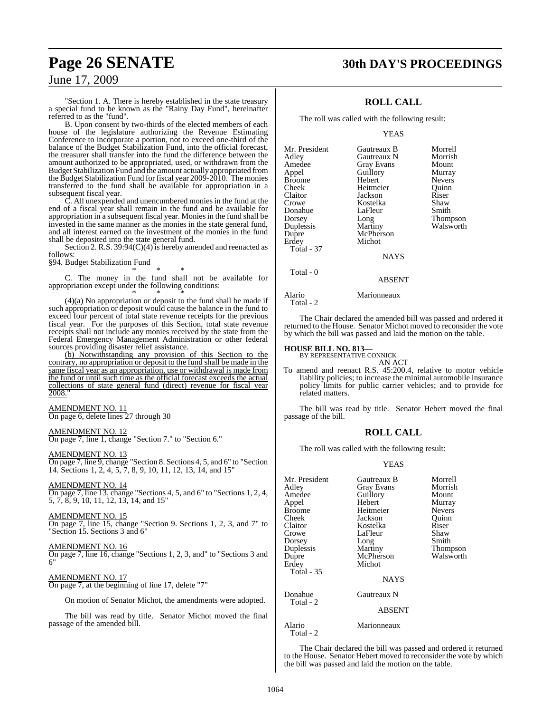### **Page 26 SENATE 30th DAY'S PROCEEDINGS**

### June 17, 2009

"Section 1. A. There is hereby established in the state treasury a special fund to be known as the "Rainy Day Fund", hereinafter referred to as the "fund".

B. Upon consent by two-thirds of the elected members of each house of the legislature authorizing the Revenue Estimating Conference to incorporate a portion, not to exceed one-third of the balance of the Budget Stabilization Fund, into the official forecast, the treasurer shall transfer into the fund the difference between the amount authorized to be appropriated, used, or withdrawn from the Budget Stabilization Fund and the amount actually appropriated from the Budget Stabilization Fund for fiscal year 2009-2010. The monies transferred to the fund shall be available for appropriation in a subsequent fiscal year.

C. All unexpended and unencumbered monies in the fund at the end of a fiscal year shall remain in the fund and be available for appropriation in a subsequent fiscal year. Moniesin the fund shall be invested in the same manner as the monies in the state general fund, and all interest earned on the investment of the monies in the fund shall be deposited into the state general fund.

Section 2. R.S. 39:94(C)(4) is hereby amended and reenacted as follows:

§94. Budget Stabilization Fund

\* \* \* C. The money in the fund shall not be available for appropriation except under the following conditions:

\* \* \*  $(4)(a)$  No appropriation or deposit to the fund shall be made if such appropriation or deposit would cause the balance in the fund to exceed four percent of total state revenue receipts for the previous fiscal year. For the purposes of this Section, total state revenue receipts shall not include any monies received by the state from the Federal Emergency Management Administration or other federal sources providing disaster relief assistance.

(b) Notwithstanding any provision of this Section to the contrary, no appropriation or deposit to the fund shall be made in the same fiscal year as an appropriation, use or withdrawal is made from the fund or until such time as the official forecast exceeds the actual collections of state general fund (direct) revenue for fiscal year 2008."

### AMENDMENT NO. 11

On page 6, delete lines 27 through 30

### AMENDMENT NO. 12

On page 7, line 1, change "Section 7." to "Section 6."

### AMENDMENT NO. 13

On page 7, line 9, change "Section 8. Sections 4, 5, and 6" to "Section 14. Sections 1, 2, 4, 5, 7, 8, 9, 10, 11, 12, 13, 14, and 15"

### AMENDMENT NO. 14

On page 7, line 13, change "Sections 4, 5, and 6" to "Sections 1, 2, 4, 5, 7, 8, 9, 10, 11, 12, 13, 14, and 15"

#### AMENDMENT NO. 15

On page 7, line 15, change "Section 9. Sections 1, 2, 3, and 7" to "Section 15. Sections 3 and 6"

#### AMENDMENT NO. 16

On page 7, line 16, change "Sections 1, 2, 3, and" to "Sections 3 and 6"

### AMENDMENT NO. 17

On page 7, at the beginning of line 17, delete "7"

On motion of Senator Michot, the amendments were adopted.

The bill was read by title. Senator Michot moved the final passage of the amended bill.

### **ROLL CALL**

The roll was called with the following result:

#### YEAS

| Mr. President     | Gautreaux B | Morrell       |
|-------------------|-------------|---------------|
| Adley             | Gautreaux N | Morrish       |
| Amedee            | Gray Evans  | Mount         |
| Appel             | Guillory    | Murray        |
| Broome            | Hebert      | <b>Nevers</b> |
| Cheek             | Heitmeier   | Ouinn         |
| Claitor           | Jackson     | Riser         |
| Crowe             | Kostelka    | Shaw          |
| Donahue           | LaFleur     | Smith         |
| Dorsey            | Long        | Thompson      |
| Duplessis         | Martiny     | Walsworth     |
| Dupre             | McPherson   |               |
| Erdey             | Michot      |               |
| <b>Total - 37</b> |             |               |
|                   | <b>NAYS</b> |               |
| Total - 0         |             |               |
|                   | ABSENT      |               |

Alario Marionneaux

Total - 2

The Chair declared the amended bill was passed and ordered it returned to the House. Senator Michot moved to reconsider the vote by which the bill was passed and laid the motion on the table.

### **HOUSE BILL NO. 813—** BY REPRESENTATIVE CONNICK

AN ACT

To amend and reenact R.S. 45:200.4, relative to motor vehicle liability policies; to increase the minimal automobile insurance policy limits for public carrier vehicles; and to provide for related matters.

The bill was read by title. Senator Hebert moved the final passage of the bill.

### **ROLL CALL**

The roll was called with the following result:

### YEAS

| Mr. President<br>Adley<br>Amedee<br>Appel<br><b>Broome</b><br>Cheek<br>Claitor<br>Crowe<br>Dorsey<br>Duplessis<br>Dupre<br>Erdey<br><b>Total - 35</b> | Gautreaux B<br>Gray Evans<br>Guillory<br>Hebert<br>Heitmeier<br>Jackson<br>Kostelka<br>LaFleur<br>Long<br>Martiny<br>McPherson<br>Michot<br><b>NAYS</b> | Morrell<br>Morrish<br>Mount<br>Murray<br><b>Nevers</b><br>Ouinn<br>Riser<br>Shaw<br>Smith<br>Thompson<br>Walsworth |
|-------------------------------------------------------------------------------------------------------------------------------------------------------|---------------------------------------------------------------------------------------------------------------------------------------------------------|--------------------------------------------------------------------------------------------------------------------|
| Donahue<br>Total - 2                                                                                                                                  | Gautreaux N<br><b>ABSENT</b>                                                                                                                            |                                                                                                                    |
| Alario<br>Total - 2                                                                                                                                   | Marionneaux                                                                                                                                             |                                                                                                                    |

The Chair declared the bill was passed and ordered it returned to the House. Senator Hebert moved to reconsider the vote by which the bill was passed and laid the motion on the table.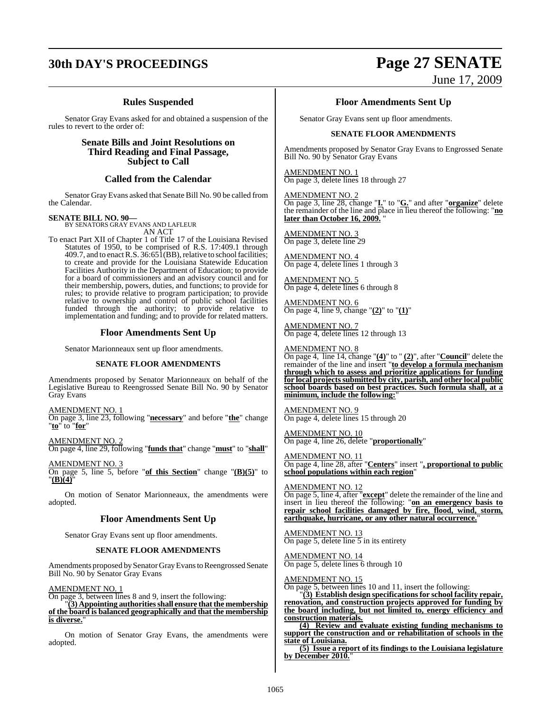## **30th DAY'S PROCEEDINGS Page 27 SENATE**

### **Rules Suspended**

Senator Gray Evans asked for and obtained a suspension of the rules to revert to the order of:

> **Senate Bills and Joint Resolutions on Third Reading and Final Passage, Subject to Call**

### **Called from the Calendar**

Senator Gray Evans asked that Senate Bill No. 90 be called from the Calendar.

**SENATE BILL NO. 90—** BY SENATORS GRAY EVANS AND LAFLEUR AN ACT

To enact Part XII of Chapter 1 of Title 17 of the Louisiana Revised Statutes of 1950, to be comprised of R.S. 17:409.1 through  $409.7$ , and to enact R.S.  $36:65\overline{1}$  (BB), relative to school facilities; to create and provide for the Louisiana Statewide Education Facilities Authority in the Department of Education; to provide for a board of commissioners and an advisory council and for their membership, powers, duties, and functions; to provide for rules; to provide relative to program participation; to provide relative to ownership and control of public school facilities funded through the authority; to provide relative to implementation and funding; and to provide for related matters.

### **Floor Amendments Sent Up**

Senator Marionneaux sent up floor amendments.

### **SENATE FLOOR AMENDMENTS**

Amendments proposed by Senator Marionneaux on behalf of the Legislative Bureau to Reengrossed Senate Bill No. 90 by Senator Gray Evans

AMENDMENT NO. 1 On page 3, line 23, following "**necessary**" and before "**the**" change "**to**" to "**for**"

AMENDMENT NO. 2 On page 4, line 29, following "**funds that**" change "**must**" to "**shall**"

AMENDMENT NO. 3 On page 5, line 5, before "**of this Section**" change "**(B)(5)**" to "**(B)(4)**"

On motion of Senator Marionneaux, the amendments were adopted.

### **Floor Amendments Sent Up**

Senator Gray Evans sent up floor amendments.

### **SENATE FLOOR AMENDMENTS**

Amendments proposed bySenator GrayEvans to Reengrossed Senate Bill No. 90 by Senator Gray Evans

### AMENDMENT NO. 1

On page 3, between lines 8 and 9, insert the following: "**(3) Appointing authoritiesshall ensure thatthe membership of the board is balanced geographically and that the membership is diverse.**"

On motion of Senator Gray Evans, the amendments were adopted.

# June 17, 2009

**Floor Amendments Sent Up**

Senator Gray Evans sent up floor amendments.

### **SENATE FLOOR AMENDMENTS**

Amendments proposed by Senator Gray Evans to Engrossed Senate Bill No. 90 by Senator Gray Evans

AMENDMENT NO. 1 On page 3, delete lines 18 through 27

AMENDMENT NO. 2

On page 3, line 28, change "**I.**" to "**G.**" and after "**organize**" delete the remainder of the line and place in lieu thereof the following: "**no** later than October 16, 2009.

AMENDMENT NO. 3 On page 3, delete line 29

AMENDMENT NO. 4 On page 4, delete lines 1 through 3

AMENDMENT NO. 5 On page 4, delete lines 6 through 8

AMENDMENT NO. 6 On page 4, line 9, change "**(2)**" to "**(1)**"

AMENDMENT NO. 7 On page 4, delete lines 12 through 13

### AMENDMENT NO. 8

On page 4, line 14, change "**(4)**" to " **(2)**", after "**Council**" delete the remainder of the line and insert "**to develop a formula mechanism through which to assess and prioritize applications for funding for local projectssubmitted by city, parish, and other local public school boards based on best practices. Such formula shall, at a minimum, include the following:**"

AMENDMENT NO. 9 On page 4, delete lines 15 through 20

AMENDMENT NO. 10 On page 4, line 26, delete "**proportionally**"

AMENDMENT NO. 11 On page 4, line 28, after "**Centers**" insert "**, proportional to public school populations within each region**"

AMENDMENT NO. 12 On page 5, line 4, after "**except**" delete the remainder of the line and insert in lieu thereof the following: "**on an emergency basis to repair school facilities damaged by fire, flood, wind, storm, earthquake, hurricane, or any other natural occurrence.**"

AMENDMENT NO. 13 On page 5, delete line  $\overline{5}$  in its entirety

AMENDMENT NO. 14 On page 5, delete lines 6 through 10

AMENDMENT NO. 15

On page 5, between lines 10 and 11, insert the following:

"**(3) Establish design specifications for school facility repair, renovation, and construction projects approved for funding by the board including, but not limited to, energy efficiency and construction materials.**

**(4) Review and evaluate existing funding mechanisms to support the construction and or rehabilitation of schools in the state of Louisiana.**

**(5) Issue a report of its findings to the Louisiana legislature by December 2010.**"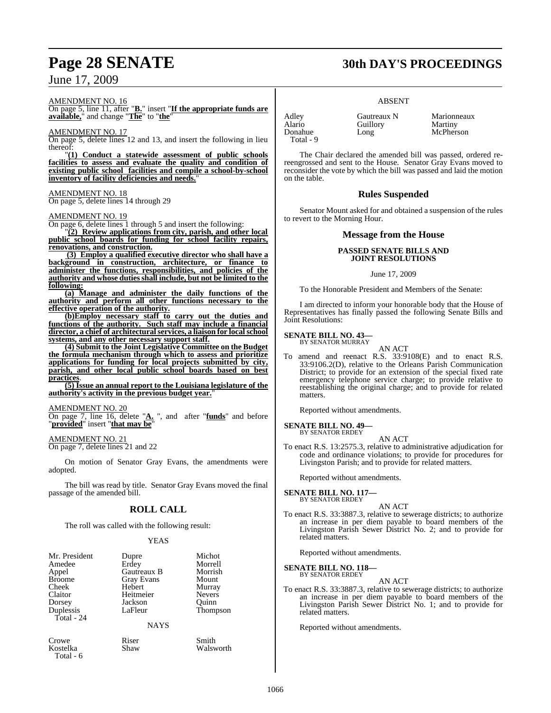AMENDMENT NO. 16

On page 5, line 11, after "**B.**" insert "**If the appropriate funds are available,**" and change "**The**" to "**the**"

AMENDMENT NO. 17

On page 5, delete lines 12 and 13, and insert the following in lieu thereof:

"**(1) Conduct a statewide assessment of public schools facilities to assess and evaluate the quality and condition of existing public school facilities and compile a school-by-school inventory of facility deficiencies and needs.**"

### AMENDMENT NO. 18

On page 5, delete lines 14 through 29

### AMENDMENT NO. 19

On page 6, delete lines 1 through 5 and insert the following:

"**(2) Review applications from city, parish, and other local public school boards for funding for school facility repairs, renovations, and construction.**

 **(3) Employ a qualified executive director who shall have a background in construction, architecture, or finance to administer the functions, responsibilities, and policies of the authority and whose dutiesshall include, but not be limited to the following:**

**(a) Manage and administer the daily functions of the authority and perform all other functions necessary to the effective operation of the authority.**

**(b)Employ necessary staff to carry out the duties and functions of the authority. Such staff may include a financial director, a chief of architecturalservices, a liaison for localschool systems, and any other necessary support staff.**

**(4) Submit to the Joint Legislative Committee on the Budget the formula mechanism through which to assess and prioritize applications for funding for local projects submitted by city, parish, and other local public school boards based on best practices**.

**(5) Issue an annual report to the Louisiana legislature of the <u>authority's activity in the previous budget year.</u>** 

### AMENDMENT NO. 20

On page 7, line 16, delete "**A.** ", and after "**funds**" and before "**provided**" insert "**that may be**"

AMENDMENT NO. 21 On page 7, delete lines 21 and 22

On motion of Senator Gray Evans, the amendments were adopted.

The bill was read by title. Senator Gray Evans moved the final passage of the amended bill.

### **ROLL CALL**

The roll was called with the following result:

### YEAS

| Mr. President           | Dupre                  | Michot          |
|-------------------------|------------------------|-----------------|
| Amedee                  | Erdey                  | Morrell         |
| Appel                   | Gautreaux B            | Morrish         |
| <b>Broome</b>           | Gray Evans             | Mount           |
| Cheek                   | Hebert                 | Murray          |
| Claitor                 | Heitmeier              | <b>Nevers</b>   |
| Dorsey                  | Jackson                | Ouinn           |
| Duplessis<br>Total - 24 | LaFleur<br><b>NAYS</b> | <b>Thompson</b> |
| Crowe                   | Riser                  | Smith           |
| Kostelka                | Shaw                   | Walsworth       |

Total - 6

### ABSENT

Total - 9

Adley Gautreaux N Marionneaux<br>Alario Guillory Martiny Alario Guillory<br>Donahue Long

McPherson

The Chair declared the amended bill was passed, ordered rereengrossed and sent to the House. Senator Gray Evans moved to reconsider the vote by which the bill was passed and laid the motion on the table.

### **Rules Suspended**

Senator Mount asked for and obtained a suspension of the rules to revert to the Morning Hour.

### **Message from the House**

### **PASSED SENATE BILLS AND JOINT RESOLUTIONS**

### June 17, 2009

To the Honorable President and Members of the Senate:

I am directed to inform your honorable body that the House of Representatives has finally passed the following Senate Bills and Joint Resolutions:

#### **SENATE BILL NO. 43—** BY SENATOR MURRAY

AN ACT

To amend and reenact R.S. 33:9108(E) and to enact R.S. 33:9106.2(D), relative to the Orleans Parish Communication District; to provide for an extension of the special fixed rate emergency telephone service charge; to provide relative to reestablishing the original charge; and to provide for related matters.

Reported without amendments.

#### **SENATE BILL NO. 49—** BY SENATOR ERDEY

AN ACT

To enact R.S. 13:2575.3, relative to administrative adjudication for code and ordinance violations; to provide for procedures for Livingston Parish; and to provide for related matters.

Reported without amendments.

**SENATE BILL NO. 117—** BY SENATOR ERDEY

### AN ACT

To enact R.S. 33:3887.3, relative to sewerage districts; to authorize an increase in per diem payable to board members of the Livingston Parish Sewer District No. 2; and to provide for related matters.

Reported without amendments.

**SENATE BILL NO. 118—** BY SENATOR ERDEY

### AN ACT

To enact R.S. 33:3887.3, relative to sewerage districts; to authorize an increase in per diem payable to board members of the Livingston Parish Sewer District No. 1; and to provide for related matters.

Reported without amendments.

## **Page 28 SENATE 30th DAY'S PROCEEDINGS**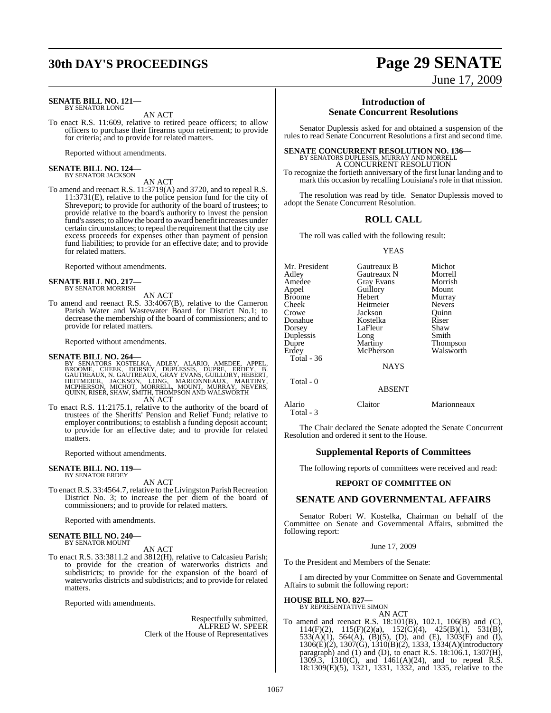## **30th DAY'S PROCEEDINGS Page 29 SENATE**

#### **SENATE BILL NO. 121—** BY SENATOR LONG

AN ACT

To enact R.S. 11:609, relative to retired peace officers; to allow officers to purchase their firearms upon retirement; to provide for criteria; and to provide for related matters.

Reported without amendments.

#### **SENATE BILL NO. 124—** BY SENATOR JACKSON

### AN ACT

To amend and reenact R.S. 11:3719(A) and 3720, and to repeal R.S. 11:3731(E), relative to the police pension fund for the city of Shreveport; to provide for authority of the board of trustees; to provide relative to the board's authority to invest the pension fund's assets; to allow the board to award benefit increases under certain circumstances; to repeal the requirement that the city use excess proceeds for expenses other than payment of pension fund liabilities; to provide for an effective date; and to provide for related matters.

Reported without amendments.

#### **SENATE BILL NO. 217—** BY SENATOR MORRISH

AN ACT

To amend and reenact R.S. 33:4067(B), relative to the Cameron Parish Water and Wastewater Board for District No.1; to decrease the membership of the board of commissioners; and to provide for related matters.

Reported without amendments.

### **SENATE BILL NO. 264—**

BY SENATORS KOSTELKA, ADLEY, ALARIO, AMEDEE, APPEL,<br>BROOME, CHEEK, DORSEY, DUPLESSIS, DUPRE, ERDEY, B.<br>GAUTREAUX,N. GAUTREAUX,GRAY EVANS,GUILLORY,HEBERT,<br>HEITMEIER, JACKSON, LONG, MARIONNEAUX, MARTINY,<br>MCPHERSON, MICHOT,MO AN ACT

To enact R.S. 11:2175.1, relative to the authority of the board of trustees of the Sheriffs' Pension and Relief Fund; relative to employer contributions; to establish a funding deposit account; to provide for an effective date; and to provide for related matters.

Reported without amendments.

### **SENATE BILL NO. 119—**

BY SENATOR ERDEY

### AN ACT

To enact R.S. 33:4564.7, relative to the Livingston Parish Recreation District No. 3; to increase the per diem of the board of commissioners; and to provide for related matters.

Reported with amendments.

## **SENATE BILL NO. 240—** BY SENATOR MOUNT

AN ACT

To enact R.S. 33:3811.2 and 3812(H), relative to Calcasieu Parish; to provide for the creation of waterworks districts and subdistricts; to provide for the expansion of the board of waterworks districts and subdistricts; and to provide for related matters.

Reported with amendments.

Respectfully submitted, ALFRED W. SPEER Clerk of the House of Representatives

June 17, 2009

### **Introduction of Senate Concurrent Resolutions**

Senator Duplessis asked for and obtained a suspension of the rules to read Senate Concurrent Resolutions a first and second time.

# **SENATE CONCURRENT RESOLUTION NO. 136—**<br>BY SENATORS DUPLESSIS, MURRAY AND MORRELL<br>A CONCURRENT RESOLUTION

To recognize the fortieth anniversary of the first lunar landing and to mark this occasion by recalling Louisiana's role in that mission.

The resolution was read by title. Senator Duplessis moved to adopt the Senate Concurrent Resolution.

### **ROLL CALL**

The roll was called with the following result:

#### **YEAS**

| Mr. President | Gautreaux B   | Michot          |
|---------------|---------------|-----------------|
| Adley         | Gautreaux N   | Morrell         |
| Amedee        | Gray Evans    | Morrish         |
| Appel         | Guillory      | Mount           |
| Broome        | Hebert        | Murray          |
| Cheek         | Heitmeier     | <b>Nevers</b>   |
| Crowe         | Jackson       | Ouinn           |
| Donahue       | Kostelka      | Riser           |
| Dorsey        | LaFleur       | Shaw            |
| Duplessis     | Long          | Smith           |
| Dupre         | Martiny       | <b>Thompson</b> |
| Erdey         | McPherson     | Walsworth       |
| Total - 36    |               |                 |
|               | <b>NAYS</b>   |                 |
| Total - 0     |               |                 |
|               | <b>ABSENT</b> |                 |
|               |               |                 |

Alario Claitor Marionneaux Total - 3

The Chair declared the Senate adopted the Senate Concurrent Resolution and ordered it sent to the House.

### **Supplemental Reports of Committees**

The following reports of committees were received and read:

### **REPORT OF COMMITTEE ON**

### **SENATE AND GOVERNMENTAL AFFAIRS**

Senator Robert W. Kostelka, Chairman on behalf of the Committee on Senate and Governmental Affairs, submitted the following report:

### June 17, 2009

To the President and Members of the Senate:

I am directed by your Committee on Senate and Governmental Affairs to submit the following report:

### **HOUSE BILL NO. 827—**

BY REPRESENTATIVE SIMON

AN ACT To amend and reenact R.S. 18:101(B), 102.1, 106(B) and (C), 114(F)(2), 115(F)(2)(a), 152(C)(4), 425(B)(1), 531(B), 533(A)(1), 564(A), (B)(5), (D), and (E), 1303(F) and (I), 1306(E)(2), 1307(G), 1310(B)(2), 1333, 1334(A)(introductory paragraph) and (1) and (D), to enact R.S. 18:106.1, 1307(H), 1309.3, 1310(C), and 1461(A)(24), and to repeal R.S.

18:1309(E)(5), 1321, 1331, 1332, and 1335, relative to the